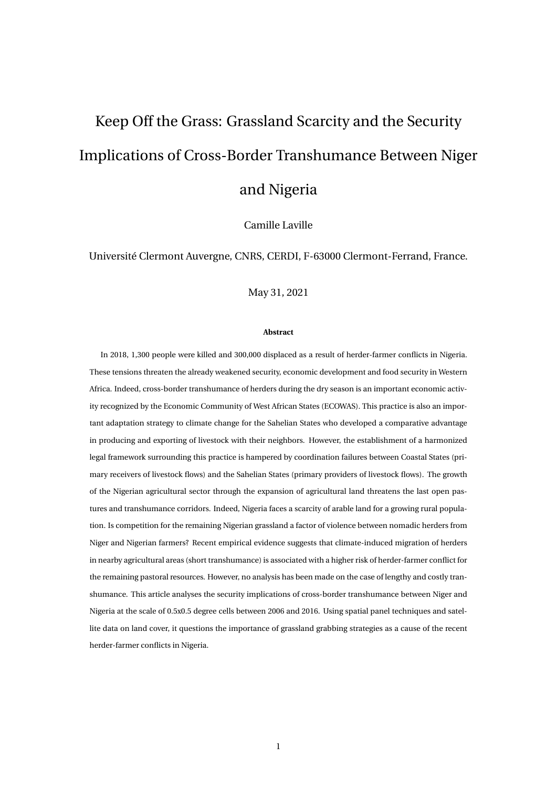# Keep Off the Grass: Grassland Scarcity and the Security Implications of Cross-Border Transhumance Between Niger and Nigeria

Camille Laville

Université Clermont Auvergne, CNRS, CERDI, F-63000 Clermont-Ferrand, France.

May 31, 2021

#### **Abstract**

In 2018, 1,300 people were killed and 300,000 displaced as a result of herder-farmer conflicts in Nigeria. These tensions threaten the already weakened security, economic development and food security in Western Africa. Indeed, cross-border transhumance of herders during the dry season is an important economic activity recognized by the Economic Community of West African States (ECOWAS). This practice is also an important adaptation strategy to climate change for the Sahelian States who developed a comparative advantage in producing and exporting of livestock with their neighbors. However, the establishment of a harmonized legal framework surrounding this practice is hampered by coordination failures between Coastal States (primary receivers of livestock flows) and the Sahelian States (primary providers of livestock flows). The growth of the Nigerian agricultural sector through the expansion of agricultural land threatens the last open pastures and transhumance corridors. Indeed, Nigeria faces a scarcity of arable land for a growing rural population. Is competition for the remaining Nigerian grassland a factor of violence between nomadic herders from Niger and Nigerian farmers? Recent empirical evidence suggests that climate-induced migration of herders in nearby agricultural areas (short transhumance) is associated with a higher risk of herder-farmer conflict for the remaining pastoral resources. However, no analysis has been made on the case of lengthy and costly transhumance. This article analyses the security implications of cross-border transhumance between Niger and Nigeria at the scale of 0.5x0.5 degree cells between 2006 and 2016. Using spatial panel techniques and satellite data on land cover, it questions the importance of grassland grabbing strategies as a cause of the recent herder-farmer conflicts in Nigeria.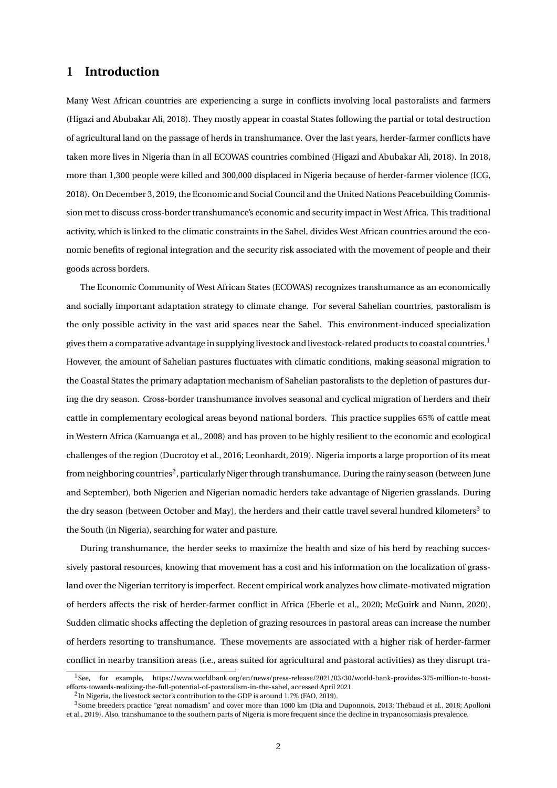#### **1 Introduction**

Many West African countries are experiencing a surge in conflicts involving local pastoralists and farmers (Higazi and Abubakar Ali, 2018). They mostly appear in coastal States following the partial or total destruction of agricultural land on the passage of herds in transhumance. Over the last years, herder-farmer conflicts have taken more lives in Nigeria than in all ECOWAS countries combined (Higazi and Abubakar Ali, 2018). In 2018, more than 1,300 people were killed and 300,000 displaced in Nigeria because of herder-farmer violence (ICG, 2018). On December 3, 2019, the Economic and Social Council and the United Nations Peacebuilding Commission met to discuss cross-border transhumance's economic and security impact in West Africa. This traditional activity, which is linked to the climatic constraints in the Sahel, divides West African countries around the economic benefits of regional integration and the security risk associated with the movement of people and their goods across borders.

The Economic Community of West African States (ECOWAS) recognizes transhumance as an economically and socially important adaptation strategy to climate change. For several Sahelian countries, pastoralism is the only possible activity in the vast arid spaces near the Sahel. This environment-induced specialization gives them a comparative advantage in supplying livestock and livestock-related products to coastal countries.<sup>1</sup> However, the amount of Sahelian pastures fluctuates with climatic conditions, making seasonal migration to the Coastal States the primary adaptation mechanism of Sahelian pastoralists to the depletion of pastures during the dry season. Cross-border transhumance involves seasonal and cyclical migration of herders and their cattle in complementary ecological areas beyond national borders. This practice supplies 65% of cattle meat in Western Africa (Kamuanga et al., 2008) and has proven to be highly resilient to the economic and ecological challenges of the region (Ducrotoy et al., 2016; Leonhardt, 2019). Nigeria imports a large proportion of its meat from neighboring countries $^2$ , particularly Niger through transhumance. During the rainy season (between June and September), both Nigerien and Nigerian nomadic herders take advantage of Nigerien grasslands. During the dry season (between October and May), the herders and their cattle travel several hundred kilometers<sup>3</sup> to the South (in Nigeria), searching for water and pasture.

During transhumance, the herder seeks to maximize the health and size of his herd by reaching successively pastoral resources, knowing that movement has a cost and his information on the localization of grassland over the Nigerian territory is imperfect. Recent empirical work analyzes how climate-motivated migration of herders affects the risk of herder-farmer conflict in Africa (Eberle et al., 2020; McGuirk and Nunn, 2020). Sudden climatic shocks affecting the depletion of grazing resources in pastoral areas can increase the number of herders resorting to transhumance. These movements are associated with a higher risk of herder-farmer conflict in nearby transition areas (i.e., areas suited for agricultural and pastoral activities) as they disrupt tra-

<sup>1</sup>See, for example, https://www.worldbank.org/en/news/press-release/2021/03/30/world-bank-provides-375-million-to-boostefforts-towards-realizing-the-full-potential-of-pastoralism-in-the-sahel, accessed April 2021.

 $^2$ In Nigeria, the livestock sector's contribution to the GDP is around 1.7% (FAO, 2019).

<sup>&</sup>lt;sup>3</sup>Some breeders practice "great nomadism" and cover more than 1000 km (Dia and Duponnois, 2013; Thébaud et al., 2018; Apolloni et al., 2019). Also, transhumance to the southern parts of Nigeria is more frequent since the decline in trypanosomiasis prevalence.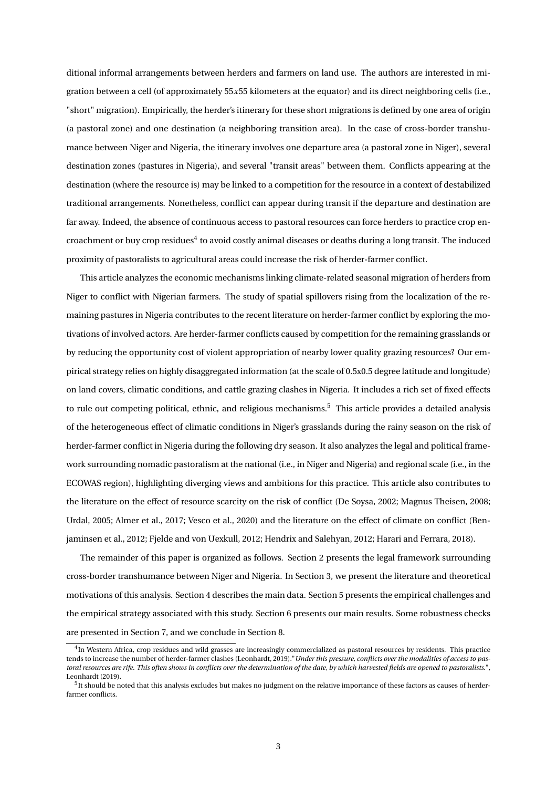ditional informal arrangements between herders and farmers on land use. The authors are interested in migration between a cell (of approximately 55*x*55 kilometers at the equator) and its direct neighboring cells (i.e., "short" migration). Empirically, the herder's itinerary for these short migrations is defined by one area of origin (a pastoral zone) and one destination (a neighboring transition area). In the case of cross-border transhumance between Niger and Nigeria, the itinerary involves one departure area (a pastoral zone in Niger), several destination zones (pastures in Nigeria), and several "transit areas" between them. Conflicts appearing at the destination (where the resource is) may be linked to a competition for the resource in a context of destabilized traditional arrangements. Nonetheless, conflict can appear during transit if the departure and destination are far away. Indeed, the absence of continuous access to pastoral resources can force herders to practice crop encroachment or buy crop residues $^4$  to avoid costly animal diseases or deaths during a long transit. The induced proximity of pastoralists to agricultural areas could increase the risk of herder-farmer conflict.

This article analyzes the economic mechanisms linking climate-related seasonal migration of herders from Niger to conflict with Nigerian farmers. The study of spatial spillovers rising from the localization of the remaining pastures in Nigeria contributes to the recent literature on herder-farmer conflict by exploring the motivations of involved actors. Are herder-farmer conflicts caused by competition for the remaining grasslands or by reducing the opportunity cost of violent appropriation of nearby lower quality grazing resources? Our empirical strategy relies on highly disaggregated information (at the scale of 0.5x0.5 degree latitude and longitude) on land covers, climatic conditions, and cattle grazing clashes in Nigeria. It includes a rich set of fixed effects to rule out competing political, ethnic, and religious mechanisms.<sup>5</sup> This article provides a detailed analysis of the heterogeneous effect of climatic conditions in Niger's grasslands during the rainy season on the risk of herder-farmer conflict in Nigeria during the following dry season. It also analyzes the legal and political framework surrounding nomadic pastoralism at the national (i.e., in Niger and Nigeria) and regional scale (i.e., in the ECOWAS region), highlighting diverging views and ambitions for this practice. This article also contributes to the literature on the effect of resource scarcity on the risk of conflict (De Soysa, 2002; Magnus Theisen, 2008; Urdal, 2005; Almer et al., 2017; Vesco et al., 2020) and the literature on the effect of climate on conflict (Benjaminsen et al., 2012; Fjelde and von Uexkull, 2012; Hendrix and Salehyan, 2012; Harari and Ferrara, 2018).

The remainder of this paper is organized as follows. Section 2 presents the legal framework surrounding cross-border transhumance between Niger and Nigeria. In Section 3, we present the literature and theoretical motivations of this analysis. Section 4 describes the main data. Section 5 presents the empirical challenges and the empirical strategy associated with this study. Section 6 presents our main results. Some robustness checks are presented in Section 7, and we conclude in Section 8.

 $<sup>4</sup>$ In Western Africa, crop residues and wild grasses are increasingly commercialized as pastoral resources by residents. This practice</sup> tends to increase the number of herder-farmer clashes (Leonhardt, 2019)."*Under this pressure, conflicts over the modalities of access to pastoral resources are rife. This often shows in conflicts over the determination of the date, by which harvested fields are opened to pastoralists.*", Leonhardt (2019).

 $^5$ It should be noted that this analysis excludes but makes no judgment on the relative importance of these factors as causes of herderfarmer conflicts.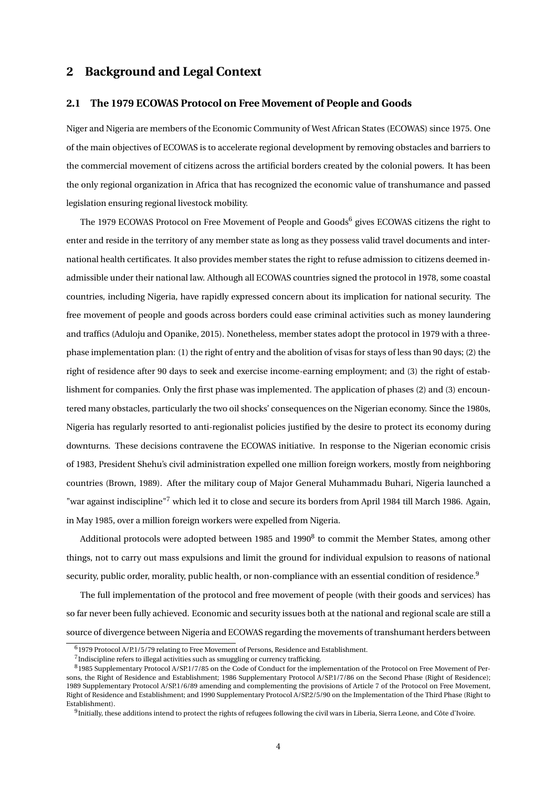#### **2 Background and Legal Context**

#### **2.1 The 1979 ECOWAS Protocol on Free Movement of People and Goods**

Niger and Nigeria are members of the Economic Community of West African States (ECOWAS) since 1975. One of the main objectives of ECOWAS is to accelerate regional development by removing obstacles and barriers to the commercial movement of citizens across the artificial borders created by the colonial powers. It has been the only regional organization in Africa that has recognized the economic value of transhumance and passed legislation ensuring regional livestock mobility.

The 1979 ECOWAS Protocol on Free Movement of People and Goods $^6$  gives ECOWAS citizens the right to enter and reside in the territory of any member state as long as they possess valid travel documents and international health certificates. It also provides member states the right to refuse admission to citizens deemed inadmissible under their national law. Although all ECOWAS countries signed the protocol in 1978, some coastal countries, including Nigeria, have rapidly expressed concern about its implication for national security. The free movement of people and goods across borders could ease criminal activities such as money laundering and traffics (Aduloju and Opanike, 2015). Nonetheless, member states adopt the protocol in 1979 with a threephase implementation plan: (1) the right of entry and the abolition of visas for stays of less than 90 days; (2) the right of residence after 90 days to seek and exercise income-earning employment; and (3) the right of establishment for companies. Only the first phase was implemented. The application of phases (2) and (3) encountered many obstacles, particularly the two oil shocks' consequences on the Nigerian economy. Since the 1980s, Nigeria has regularly resorted to anti-regionalist policies justified by the desire to protect its economy during downturns. These decisions contravene the ECOWAS initiative. In response to the Nigerian economic crisis of 1983, President Shehu's civil administration expelled one million foreign workers, mostly from neighboring countries (Brown, 1989). After the military coup of Major General Muhammadu Buhari, Nigeria launched a "war against indiscipline"<sup>7</sup> which led it to close and secure its borders from April 1984 till March 1986. Again, in May 1985, over a million foreign workers were expelled from Nigeria.

Additional protocols were adopted between 1985 and 1990 $^8$  to commit the Member States, among other things, not to carry out mass expulsions and limit the ground for individual expulsion to reasons of national security, public order, morality, public health, or non-compliance with an essential condition of residence.<sup>9</sup>

The full implementation of the protocol and free movement of people (with their goods and services) has so far never been fully achieved. Economic and security issues both at the national and regional scale are still a source of divergence between Nigeria and ECOWAS regarding the movements of transhumant herders between

<sup>6</sup>1979 Protocol A/P.1/5/79 relating to Free Movement of Persons, Residence and Establishment.

 $^7$ Indiscipline refers to illegal activities such as smuggling or currency trafficking.

<sup>8</sup>1985 Supplementary Protocol A/SP.1/7/85 on the Code of Conduct for the implementation of the Protocol on Free Movement of Persons, the Right of Residence and Establishment; 1986 Supplementary Protocol A/SP.1/7/86 on the Second Phase (Right of Residence); 1989 Supplementary Protocol A/SP.1/6/89 amending and complementing the provisions of Article 7 of the Protocol on Free Movement, Right of Residence and Establishment; and 1990 Supplementary Protocol A/SP.2/5/90 on the Implementation of the Third Phase (Right to Establishment).

 $^9$ Initially, these additions intend to protect the rights of refugees following the civil wars in Liberia, Sierra Leone, and Côte d'Ivoire.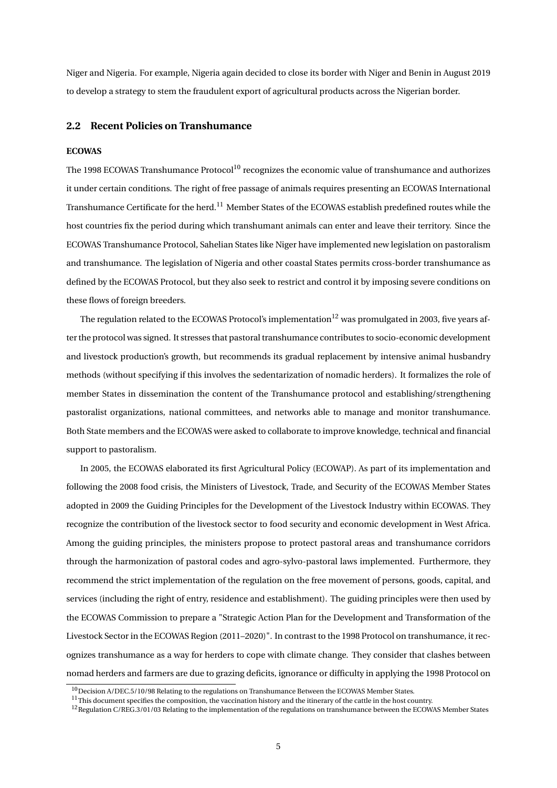Niger and Nigeria. For example, Nigeria again decided to close its border with Niger and Benin in August 2019 to develop a strategy to stem the fraudulent export of agricultural products across the Nigerian border.

#### **2.2 Recent Policies on Transhumance**

#### **ECOWAS**

The 1998 ECOWAS Transhumance  $\text{Protocol}^{10}$  recognizes the economic value of transhumance and authorizes it under certain conditions. The right of free passage of animals requires presenting an ECOWAS International Transhumance Certificate for the herd.<sup>11</sup> Member States of the ECOWAS establish predefined routes while the host countries fix the period during which transhumant animals can enter and leave their territory. Since the ECOWAS Transhumance Protocol, Sahelian States like Niger have implemented new legislation on pastoralism and transhumance. The legislation of Nigeria and other coastal States permits cross-border transhumance as defined by the ECOWAS Protocol, but they also seek to restrict and control it by imposing severe conditions on these flows of foreign breeders.

The regulation related to the ECOWAS Protocol's implementation<sup>12</sup> was promulgated in 2003, five years after the protocol was signed. It stresses that pastoral transhumance contributes to socio-economic development and livestock production's growth, but recommends its gradual replacement by intensive animal husbandry methods (without specifying if this involves the sedentarization of nomadic herders). It formalizes the role of member States in dissemination the content of the Transhumance protocol and establishing/strengthening pastoralist organizations, national committees, and networks able to manage and monitor transhumance. Both State members and the ECOWAS were asked to collaborate to improve knowledge, technical and financial support to pastoralism.

In 2005, the ECOWAS elaborated its first Agricultural Policy (ECOWAP). As part of its implementation and following the 2008 food crisis, the Ministers of Livestock, Trade, and Security of the ECOWAS Member States adopted in 2009 the Guiding Principles for the Development of the Livestock Industry within ECOWAS. They recognize the contribution of the livestock sector to food security and economic development in West Africa. Among the guiding principles, the ministers propose to protect pastoral areas and transhumance corridors through the harmonization of pastoral codes and agro-sylvo-pastoral laws implemented. Furthermore, they recommend the strict implementation of the regulation on the free movement of persons, goods, capital, and services (including the right of entry, residence and establishment). The guiding principles were then used by the ECOWAS Commission to prepare a "Strategic Action Plan for the Development and Transformation of the Livestock Sector in the ECOWAS Region (2011–2020)". In contrast to the 1998 Protocol on transhumance, it recognizes transhumance as a way for herders to cope with climate change. They consider that clashes between nomad herders and farmers are due to grazing deficits, ignorance or difficulty in applying the 1998 Protocol on

 $10$  Decision A/DEC.5/10/98 Relating to the regulations on Transhumance Between the ECOWAS Member States.

 $11$ This document specifies the composition, the vaccination history and the itinerary of the cattle in the host country.

 $12$ Regulation C/REG.3/01/03 Relating to the implementation of the regulations on transhumance between the ECOWAS Member States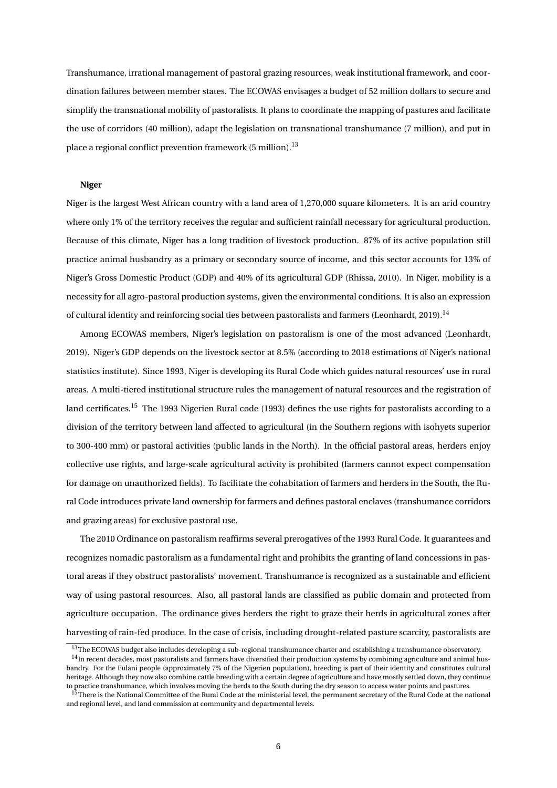Transhumance, irrational management of pastoral grazing resources, weak institutional framework, and coordination failures between member states. The ECOWAS envisages a budget of 52 million dollars to secure and simplify the transnational mobility of pastoralists. It plans to coordinate the mapping of pastures and facilitate the use of corridors (40 million), adapt the legislation on transnational transhumance (7 million), and put in place a regional conflict prevention framework (5 million).<sup>13</sup>

#### **Niger**

Niger is the largest West African country with a land area of 1,270,000 square kilometers. It is an arid country where only 1% of the territory receives the regular and sufficient rainfall necessary for agricultural production. Because of this climate, Niger has a long tradition of livestock production. 87% of its active population still practice animal husbandry as a primary or secondary source of income, and this sector accounts for 13% of Niger's Gross Domestic Product (GDP) and 40% of its agricultural GDP (Rhissa, 2010). In Niger, mobility is a necessity for all agro-pastoral production systems, given the environmental conditions. It is also an expression of cultural identity and reinforcing social ties between pastoralists and farmers (Leonhardt, 2019).<sup>14</sup>

Among ECOWAS members, Niger's legislation on pastoralism is one of the most advanced (Leonhardt, 2019). Niger's GDP depends on the livestock sector at 8.5% (according to 2018 estimations of Niger's national statistics institute). Since 1993, Niger is developing its Rural Code which guides natural resources' use in rural areas. A multi-tiered institutional structure rules the management of natural resources and the registration of land certificates.<sup>15</sup> The 1993 Nigerien Rural code (1993) defines the use rights for pastoralists according to a division of the territory between land affected to agricultural (in the Southern regions with isohyets superior to 300-400 mm) or pastoral activities (public lands in the North). In the official pastoral areas, herders enjoy collective use rights, and large-scale agricultural activity is prohibited (farmers cannot expect compensation for damage on unauthorized fields). To facilitate the cohabitation of farmers and herders in the South, the Rural Code introduces private land ownership for farmers and defines pastoral enclaves (transhumance corridors and grazing areas) for exclusive pastoral use.

The 2010 Ordinance on pastoralism reaffirms several prerogatives of the 1993 Rural Code. It guarantees and recognizes nomadic pastoralism as a fundamental right and prohibits the granting of land concessions in pastoral areas if they obstruct pastoralists' movement. Transhumance is recognized as a sustainable and efficient way of using pastoral resources. Also, all pastoral lands are classified as public domain and protected from agriculture occupation. The ordinance gives herders the right to graze their herds in agricultural zones after harvesting of rain-fed produce. In the case of crisis, including drought-related pasture scarcity, pastoralists are

<sup>&</sup>lt;sup>13</sup>The ECOWAS budget also includes developing a sub-regional transhumance charter and establishing a transhumance observatory.

<sup>&</sup>lt;sup>14</sup>In recent decades, most pastoralists and farmers have diversified their production systems by combining agriculture and animal husbandry. For the Fulani people (approximately 7% of the Nigerien population), breeding is part of their identity and constitutes cultural heritage. Although they now also combine cattle breeding with a certain degree of agriculture and have mostly settled down, they continue to practice transhumance, which involves moving the herds to the South during the dry season to access water points and pastures.

<sup>&</sup>lt;sup>15</sup>There is the National Committee of the Rural Code at the ministerial level, the permanent secretary of the Rural Code at the national and regional level, and land commission at community and departmental levels.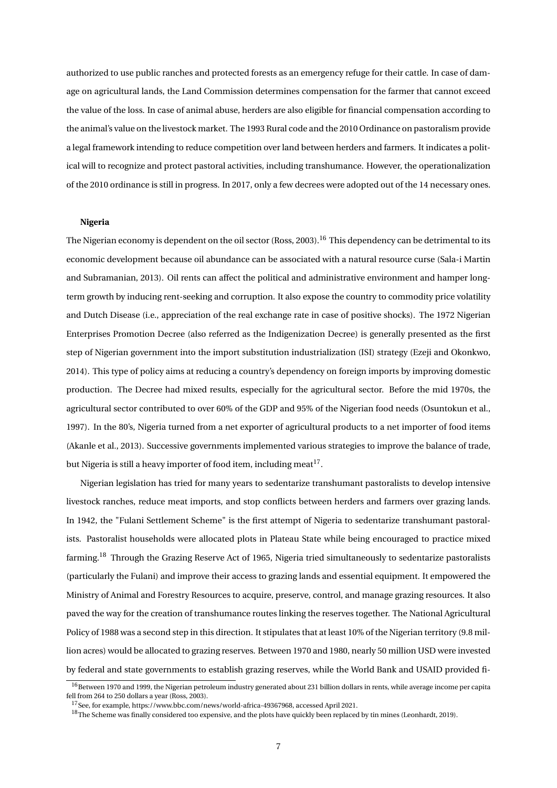authorized to use public ranches and protected forests as an emergency refuge for their cattle. In case of damage on agricultural lands, the Land Commission determines compensation for the farmer that cannot exceed the value of the loss. In case of animal abuse, herders are also eligible for financial compensation according to the animal's value on the livestock market. The 1993 Rural code and the 2010 Ordinance on pastoralism provide a legal framework intending to reduce competition over land between herders and farmers. It indicates a political will to recognize and protect pastoral activities, including transhumance. However, the operationalization of the 2010 ordinance is still in progress. In 2017, only a few decrees were adopted out of the 14 necessary ones.

#### **Nigeria**

The Nigerian economy is dependent on the oil sector (Ross, 2003).<sup>16</sup> This dependency can be detrimental to its economic development because oil abundance can be associated with a natural resource curse (Sala-i Martin and Subramanian, 2013). Oil rents can affect the political and administrative environment and hamper longterm growth by inducing rent-seeking and corruption. It also expose the country to commodity price volatility and Dutch Disease (i.e., appreciation of the real exchange rate in case of positive shocks). The 1972 Nigerian Enterprises Promotion Decree (also referred as the Indigenization Decree) is generally presented as the first step of Nigerian government into the import substitution industrialization (ISI) strategy (Ezeji and Okonkwo, 2014). This type of policy aims at reducing a country's dependency on foreign imports by improving domestic production. The Decree had mixed results, especially for the agricultural sector. Before the mid 1970s, the agricultural sector contributed to over 60% of the GDP and 95% of the Nigerian food needs (Osuntokun et al., 1997). In the 80's, Nigeria turned from a net exporter of agricultural products to a net importer of food items (Akanle et al., 2013). Successive governments implemented various strategies to improve the balance of trade, but Nigeria is still a heavy importer of food item, including meat<sup>17</sup>.

Nigerian legislation has tried for many years to sedentarize transhumant pastoralists to develop intensive livestock ranches, reduce meat imports, and stop conflicts between herders and farmers over grazing lands. In 1942, the "Fulani Settlement Scheme" is the first attempt of Nigeria to sedentarize transhumant pastoralists. Pastoralist households were allocated plots in Plateau State while being encouraged to practice mixed farming.<sup>18</sup> Through the Grazing Reserve Act of 1965, Nigeria tried simultaneously to sedentarize pastoralists (particularly the Fulani) and improve their access to grazing lands and essential equipment. It empowered the Ministry of Animal and Forestry Resources to acquire, preserve, control, and manage grazing resources. It also paved the way for the creation of transhumance routes linking the reserves together. The National Agricultural Policy of 1988 was a second step in this direction. It stipulates that at least 10% of the Nigerian territory (9.8 million acres) would be allocated to grazing reserves. Between 1970 and 1980, nearly 50 million USD were invested by federal and state governments to establish grazing reserves, while the World Bank and USAID provided fi-

<sup>&</sup>lt;sup>16</sup>Between 1970 and 1999, the Nigerian petroleum industry generated about 231 billion dollars in rents, while average income per capita fell from 264 to 250 dollars a year (Ross, 2003).

<sup>17</sup>See, for example, https://www.bbc.com/news/world-africa-49367968, accessed April 2021.

<sup>&</sup>lt;sup>18</sup>The Scheme was finally considered too expensive, and the plots have quickly been replaced by tin mines (Leonhardt, 2019).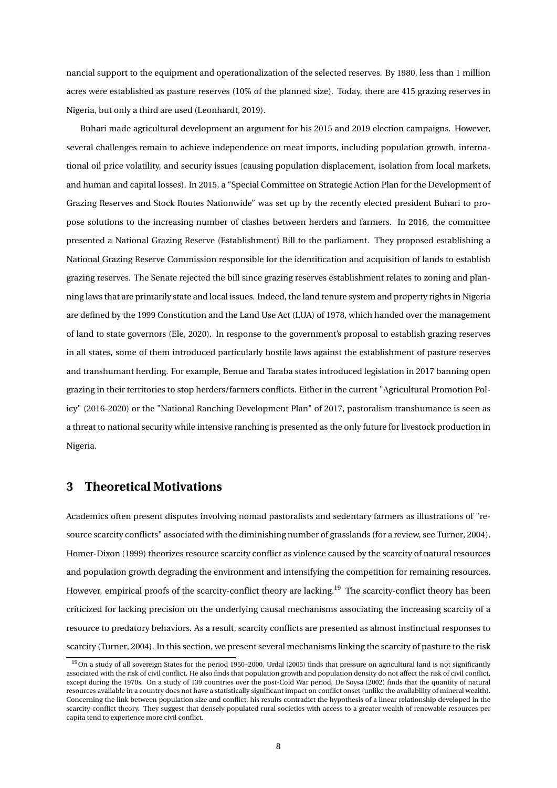nancial support to the equipment and operationalization of the selected reserves. By 1980, less than 1 million acres were established as pasture reserves (10% of the planned size). Today, there are 415 grazing reserves in Nigeria, but only a third are used (Leonhardt, 2019).

Buhari made agricultural development an argument for his 2015 and 2019 election campaigns. However, several challenges remain to achieve independence on meat imports, including population growth, international oil price volatility, and security issues (causing population displacement, isolation from local markets, and human and capital losses). In 2015, a "Special Committee on Strategic Action Plan for the Development of Grazing Reserves and Stock Routes Nationwide" was set up by the recently elected president Buhari to propose solutions to the increasing number of clashes between herders and farmers. In 2016, the committee presented a National Grazing Reserve (Establishment) Bill to the parliament. They proposed establishing a National Grazing Reserve Commission responsible for the identification and acquisition of lands to establish grazing reserves. The Senate rejected the bill since grazing reserves establishment relates to zoning and planning laws that are primarily state and local issues. Indeed, the land tenure system and property rights in Nigeria are defined by the 1999 Constitution and the Land Use Act (LUA) of 1978, which handed over the management of land to state governors (Ele, 2020). In response to the government's proposal to establish grazing reserves in all states, some of them introduced particularly hostile laws against the establishment of pasture reserves and transhumant herding. For example, Benue and Taraba states introduced legislation in 2017 banning open grazing in their territories to stop herders/farmers conflicts. Either in the current "Agricultural Promotion Policy" (2016-2020) or the "National Ranching Development Plan" of 2017, pastoralism transhumance is seen as a threat to national security while intensive ranching is presented as the only future for livestock production in Nigeria.

#### **3 Theoretical Motivations**

Academics often present disputes involving nomad pastoralists and sedentary farmers as illustrations of "resource scarcity conflicts" associated with the diminishing number of grasslands (for a review, see Turner, 2004). Homer-Dixon (1999) theorizes resource scarcity conflict as violence caused by the scarcity of natural resources and population growth degrading the environment and intensifying the competition for remaining resources. However, empirical proofs of the scarcity-conflict theory are lacking.<sup>19</sup> The scarcity-conflict theory has been criticized for lacking precision on the underlying causal mechanisms associating the increasing scarcity of a resource to predatory behaviors. As a result, scarcity conflicts are presented as almost instinctual responses to scarcity (Turner, 2004). In this section, we present several mechanisms linking the scarcity of pasture to the risk

<sup>&</sup>lt;sup>19</sup>On a study of all sovereign States for the period 1950–2000, Urdal (2005) finds that pressure on agricultural land is not significantly associated with the risk of civil conflict. He also finds that population growth and population density do not affect the risk of civil conflict, except during the 1970s. On a study of 139 countries over the post-Cold War period, De Soysa (2002) finds that the quantity of natural resources available in a country does not have a statistically significant impact on conflict onset (unlike the availability of mineral wealth). Concerning the link between population size and conflict, his results contradict the hypothesis of a linear relationship developed in the scarcity-conflict theory. They suggest that densely populated rural societies with access to a greater wealth of renewable resources per capita tend to experience more civil conflict.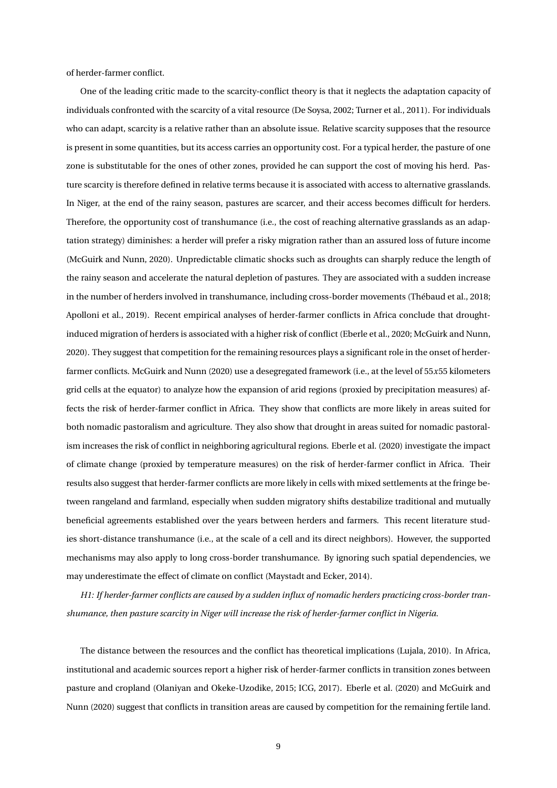of herder-farmer conflict.

One of the leading critic made to the scarcity-conflict theory is that it neglects the adaptation capacity of individuals confronted with the scarcity of a vital resource (De Soysa, 2002; Turner et al., 2011). For individuals who can adapt, scarcity is a relative rather than an absolute issue. Relative scarcity supposes that the resource is present in some quantities, but its access carries an opportunity cost. For a typical herder, the pasture of one zone is substitutable for the ones of other zones, provided he can support the cost of moving his herd. Pasture scarcity is therefore defined in relative terms because it is associated with access to alternative grasslands. In Niger, at the end of the rainy season, pastures are scarcer, and their access becomes difficult for herders. Therefore, the opportunity cost of transhumance (i.e., the cost of reaching alternative grasslands as an adaptation strategy) diminishes: a herder will prefer a risky migration rather than an assured loss of future income (McGuirk and Nunn, 2020). Unpredictable climatic shocks such as droughts can sharply reduce the length of the rainy season and accelerate the natural depletion of pastures. They are associated with a sudden increase in the number of herders involved in transhumance, including cross-border movements (Thébaud et al., 2018; Apolloni et al., 2019). Recent empirical analyses of herder-farmer conflicts in Africa conclude that droughtinduced migration of herders is associated with a higher risk of conflict (Eberle et al., 2020; McGuirk and Nunn, 2020). They suggest that competition for the remaining resources plays a significant role in the onset of herderfarmer conflicts. McGuirk and Nunn (2020) use a desegregated framework (i.e., at the level of 55*x*55 kilometers grid cells at the equator) to analyze how the expansion of arid regions (proxied by precipitation measures) affects the risk of herder-farmer conflict in Africa. They show that conflicts are more likely in areas suited for both nomadic pastoralism and agriculture. They also show that drought in areas suited for nomadic pastoralism increases the risk of conflict in neighboring agricultural regions. Eberle et al. (2020) investigate the impact of climate change (proxied by temperature measures) on the risk of herder-farmer conflict in Africa. Their results also suggest that herder-farmer conflicts are more likely in cells with mixed settlements at the fringe between rangeland and farmland, especially when sudden migratory shifts destabilize traditional and mutually beneficial agreements established over the years between herders and farmers. This recent literature studies short-distance transhumance (i.e., at the scale of a cell and its direct neighbors). However, the supported mechanisms may also apply to long cross-border transhumance. By ignoring such spatial dependencies, we may underestimate the effect of climate on conflict (Maystadt and Ecker, 2014).

*H1: If herder-farmer conflicts are caused by a sudden influx of nomadic herders practicing cross-border transhumance, then pasture scarcity in Niger will increase the risk of herder-farmer conflict in Nigeria.*

The distance between the resources and the conflict has theoretical implications (Lujala, 2010). In Africa, institutional and academic sources report a higher risk of herder-farmer conflicts in transition zones between pasture and cropland (Olaniyan and Okeke-Uzodike, 2015; ICG, 2017). Eberle et al. (2020) and McGuirk and Nunn (2020) suggest that conflicts in transition areas are caused by competition for the remaining fertile land.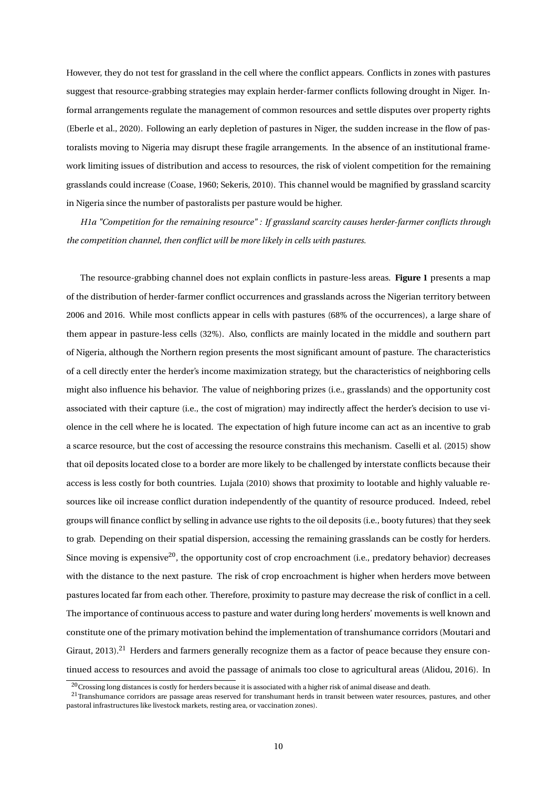However, they do not test for grassland in the cell where the conflict appears. Conflicts in zones with pastures suggest that resource-grabbing strategies may explain herder-farmer conflicts following drought in Niger. Informal arrangements regulate the management of common resources and settle disputes over property rights (Eberle et al., 2020). Following an early depletion of pastures in Niger, the sudden increase in the flow of pastoralists moving to Nigeria may disrupt these fragile arrangements. In the absence of an institutional framework limiting issues of distribution and access to resources, the risk of violent competition for the remaining grasslands could increase (Coase, 1960; Sekeris, 2010). This channel would be magnified by grassland scarcity in Nigeria since the number of pastoralists per pasture would be higher.

*H1a "Competition for the remaining resource" : If grassland scarcity causes herder-farmer conflicts through the competition channel, then conflict will be more likely in cells with pastures.*

The resource-grabbing channel does not explain conflicts in pasture-less areas. **Figure 1** presents a map of the distribution of herder-farmer conflict occurrences and grasslands across the Nigerian territory between 2006 and 2016. While most conflicts appear in cells with pastures (68% of the occurrences), a large share of them appear in pasture-less cells (32%). Also, conflicts are mainly located in the middle and southern part of Nigeria, although the Northern region presents the most significant amount of pasture. The characteristics of a cell directly enter the herder's income maximization strategy, but the characteristics of neighboring cells might also influence his behavior. The value of neighboring prizes (i.e., grasslands) and the opportunity cost associated with their capture (i.e., the cost of migration) may indirectly affect the herder's decision to use violence in the cell where he is located. The expectation of high future income can act as an incentive to grab a scarce resource, but the cost of accessing the resource constrains this mechanism. Caselli et al. (2015) show that oil deposits located close to a border are more likely to be challenged by interstate conflicts because their access is less costly for both countries. Lujala (2010) shows that proximity to lootable and highly valuable resources like oil increase conflict duration independently of the quantity of resource produced. Indeed, rebel groups will finance conflict by selling in advance use rights to the oil deposits (i.e., booty futures) that they seek to grab. Depending on their spatial dispersion, accessing the remaining grasslands can be costly for herders. Since moving is expensive<sup>20</sup>, the opportunity cost of crop encroachment (i.e., predatory behavior) decreases with the distance to the next pasture. The risk of crop encroachment is higher when herders move between pastures located far from each other. Therefore, proximity to pasture may decrease the risk of conflict in a cell. The importance of continuous access to pasture and water during long herders' movements is well known and constitute one of the primary motivation behind the implementation of transhumance corridors (Moutari and Giraut, 2013).<sup>21</sup> Herders and farmers generally recognize them as a factor of peace because they ensure continued access to resources and avoid the passage of animals too close to agricultural areas (Alidou, 2016). In

 $20$ Crossing long distances is costly for herders because it is associated with a higher risk of animal disease and death.

<sup>&</sup>lt;sup>21</sup>Transhumance corridors are passage areas reserved for transhumant herds in transit between water resources, pastures, and other pastoral infrastructures like livestock markets, resting area, or vaccination zones).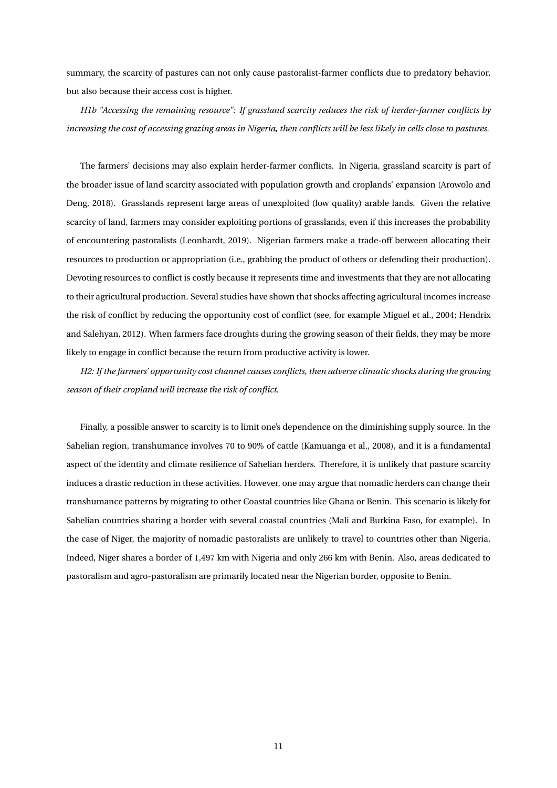summary, the scarcity of pastures can not only cause pastoralist-farmer conflicts due to predatory behavior, but also because their access cost is higher.

*H1b "Accessing the remaining resource": If grassland scarcity reduces the risk of herder-farmer conflicts by increasing the cost of accessing grazing areas in Nigeria, then conflicts will be less likely in cells close to pastures.*

The farmers' decisions may also explain herder-farmer conflicts. In Nigeria, grassland scarcity is part of the broader issue of land scarcity associated with population growth and croplands' expansion (Arowolo and Deng, 2018). Grasslands represent large areas of unexploited (low quality) arable lands. Given the relative scarcity of land, farmers may consider exploiting portions of grasslands, even if this increases the probability of encountering pastoralists (Leonhardt, 2019). Nigerian farmers make a trade-off between allocating their resources to production or appropriation (i.e., grabbing the product of others or defending their production). Devoting resources to conflict is costly because it represents time and investments that they are not allocating to their agricultural production. Several studies have shown that shocks affecting agricultural incomes increase the risk of conflict by reducing the opportunity cost of conflict (see, for example Miguel et al., 2004; Hendrix and Salehyan, 2012). When farmers face droughts during the growing season of their fields, they may be more likely to engage in conflict because the return from productive activity is lower.

*H2: If the farmers' opportunity cost channel causes conflicts, then adverse climatic shocks during the growing season of their cropland will increase the risk of conflict.*

Finally, a possible answer to scarcity is to limit one's dependence on the diminishing supply source. In the Sahelian region, transhumance involves 70 to 90% of cattle (Kamuanga et al., 2008), and it is a fundamental aspect of the identity and climate resilience of Sahelian herders. Therefore, it is unlikely that pasture scarcity induces a drastic reduction in these activities. However, one may argue that nomadic herders can change their transhumance patterns by migrating to other Coastal countries like Ghana or Benin. This scenario is likely for Sahelian countries sharing a border with several coastal countries (Mali and Burkina Faso, for example). In the case of Niger, the majority of nomadic pastoralists are unlikely to travel to countries other than Nigeria. Indeed, Niger shares a border of 1,497 km with Nigeria and only 266 km with Benin. Also, areas dedicated to pastoralism and agro-pastoralism are primarily located near the Nigerian border, opposite to Benin.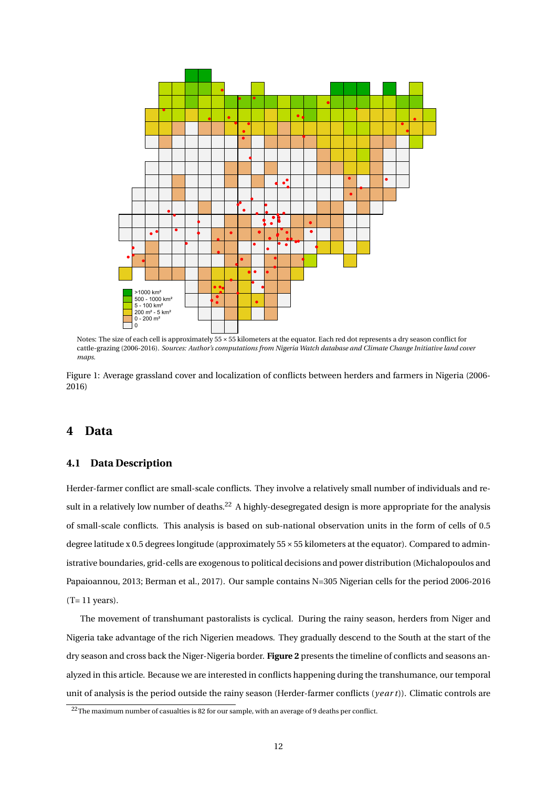

Notes: The size of each cell is approximately 55×55 kilometers at the equator. Each red dot represents a dry season conflict for cattle-grazing (2006-2016). *Sources: Author's computations from Nigeria Watch database and Climate Change Initiative land cover maps.*

Figure 1: Average grassland cover and localization of conflicts between herders and farmers in Nigeria (2006- 2016)

#### **4 Data**

#### **4.1 Data Description**

Herder-farmer conflict are small-scale conflicts. They involve a relatively small number of individuals and result in a relatively low number of deaths.<sup>22</sup> A highly-desegregated design is more appropriate for the analysis of small-scale conflicts. This analysis is based on sub-national observation units in the form of cells of 0.5 degree latitude x 0.5 degrees longitude (approximately 55×55 kilometers at the equator). Compared to administrative boundaries, grid-cells are exogenous to political decisions and power distribution (Michalopoulos and Papaioannou, 2013; Berman et al., 2017). Our sample contains N=305 Nigerian cells for the period 2006-2016  $(T= 11 \text{ years}).$ 

The movement of transhumant pastoralists is cyclical. During the rainy season, herders from Niger and Nigeria take advantage of the rich Nigerien meadows. They gradually descend to the South at the start of the dry season and cross back the Niger-Nigeria border. **Figure 2** presents the timeline of conflicts and seasons analyzed in this article. Because we are interested in conflicts happening during the transhumance, our temporal unit of analysis is the period outside the rainy season (Herder-farmer conflicts (*year t*)). Climatic controls are

<sup>22</sup>The maximum number of casualties is 82 for our sample, with an average of 9 deaths per conflict.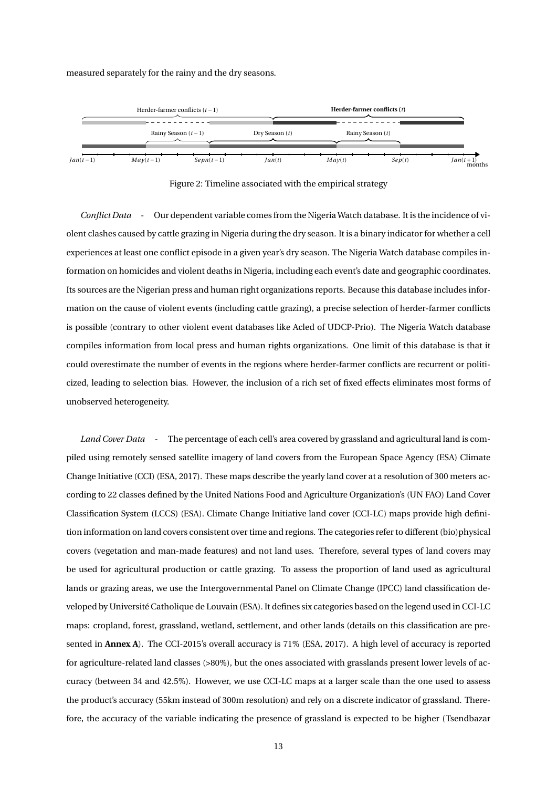#### measured separately for the rainy and the dry seasons.



Figure 2: Timeline associated with the empirical strategy

*Conflict Data* - Our dependent variable comes from the Nigeria Watch database. It is the incidence of violent clashes caused by cattle grazing in Nigeria during the dry season. It is a binary indicator for whether a cell experiences at least one conflict episode in a given year's dry season. The Nigeria Watch database compiles information on homicides and violent deaths in Nigeria, including each event's date and geographic coordinates. Its sources are the Nigerian press and human right organizations reports. Because this database includes information on the cause of violent events (including cattle grazing), a precise selection of herder-farmer conflicts is possible (contrary to other violent event databases like Acled of UDCP-Prio). The Nigeria Watch database compiles information from local press and human rights organizations. One limit of this database is that it could overestimate the number of events in the regions where herder-farmer conflicts are recurrent or politicized, leading to selection bias. However, the inclusion of a rich set of fixed effects eliminates most forms of unobserved heterogeneity.

*Land Cover Data* - The percentage of each cell's area covered by grassland and agricultural land is compiled using remotely sensed satellite imagery of land covers from the European Space Agency (ESA) Climate Change Initiative (CCI) (ESA, 2017). These maps describe the yearly land cover at a resolution of 300 meters according to 22 classes defined by the United Nations Food and Agriculture Organization's (UN FAO) Land Cover Classification System (LCCS) (ESA). Climate Change Initiative land cover (CCI-LC) maps provide high definition information on land covers consistent over time and regions. The categories refer to different (bio)physical covers (vegetation and man-made features) and not land uses. Therefore, several types of land covers may be used for agricultural production or cattle grazing. To assess the proportion of land used as agricultural lands or grazing areas, we use the Intergovernmental Panel on Climate Change (IPCC) land classification developed by Université Catholique de Louvain (ESA). It defines six categories based on the legend used in CCI-LC maps: cropland, forest, grassland, wetland, settlement, and other lands (details on this classification are presented in **Annex A**). The CCI-2015's overall accuracy is 71% (ESA, 2017). A high level of accuracy is reported for agriculture-related land classes (>80%), but the ones associated with grasslands present lower levels of accuracy (between 34 and 42.5%). However, we use CCI-LC maps at a larger scale than the one used to assess the product's accuracy (55km instead of 300m resolution) and rely on a discrete indicator of grassland. Therefore, the accuracy of the variable indicating the presence of grassland is expected to be higher (Tsendbazar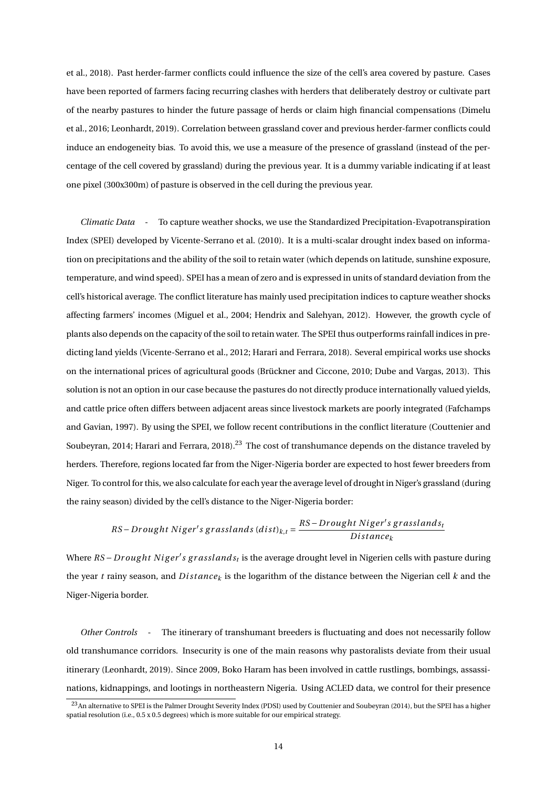et al., 2018). Past herder-farmer conflicts could influence the size of the cell's area covered by pasture. Cases have been reported of farmers facing recurring clashes with herders that deliberately destroy or cultivate part of the nearby pastures to hinder the future passage of herds or claim high financial compensations (Dimelu et al., 2016; Leonhardt, 2019). Correlation between grassland cover and previous herder-farmer conflicts could induce an endogeneity bias. To avoid this, we use a measure of the presence of grassland (instead of the percentage of the cell covered by grassland) during the previous year. It is a dummy variable indicating if at least one pixel (300x300m) of pasture is observed in the cell during the previous year.

*Climatic Data* - To capture weather shocks, we use the Standardized Precipitation-Evapotranspiration Index (SPEI) developed by Vicente-Serrano et al. (2010). It is a multi-scalar drought index based on information on precipitations and the ability of the soil to retain water (which depends on latitude, sunshine exposure, temperature, and wind speed). SPEI has a mean of zero and is expressed in units of standard deviation from the cell's historical average. The conflict literature has mainly used precipitation indices to capture weather shocks affecting farmers' incomes (Miguel et al., 2004; Hendrix and Salehyan, 2012). However, the growth cycle of plants also depends on the capacity of the soil to retain water. The SPEI thus outperforms rainfall indices in predicting land yields (Vicente-Serrano et al., 2012; Harari and Ferrara, 2018). Several empirical works use shocks on the international prices of agricultural goods (Brückner and Ciccone, 2010; Dube and Vargas, 2013). This solution is not an option in our case because the pastures do not directly produce internationally valued yields, and cattle price often differs between adjacent areas since livestock markets are poorly integrated (Fafchamps and Gavian, 1997). By using the SPEI, we follow recent contributions in the conflict literature (Couttenier and Soubeyran, 2014; Harari and Ferrara, 2018).<sup>23</sup> The cost of transhumance depends on the distance traveled by herders. Therefore, regions located far from the Niger-Nigeria border are expected to host fewer breeders from Niger. To control for this, we also calculate for each year the average level of drought in Niger's grassland (during the rainy season) divided by the cell's distance to the Niger-Nigeria border:

$$
RS-Drought\ Niger's\ grasslands\ (dist)_{k,t}=\frac{RS-Drought\ Niger's\ grasslands_t}{Distance_k}
$$

Where *RS – Drought Niger's grasslands<sub>t</sub>* is the average drought level in Nigerien cells with pasture during the year *t* rainy season, and *D i st ance<sup>k</sup>* is the logarithm of the distance between the Nigerian cell *k* and the Niger-Nigeria border.

*Other Controls* - The itinerary of transhumant breeders is fluctuating and does not necessarily follow old transhumance corridors. Insecurity is one of the main reasons why pastoralists deviate from their usual itinerary (Leonhardt, 2019). Since 2009, Boko Haram has been involved in cattle rustlings, bombings, assassinations, kidnappings, and lootings in northeastern Nigeria. Using ACLED data, we control for their presence

<sup>&</sup>lt;sup>23</sup>An alternative to SPEI is the Palmer Drought Severity Index (PDSI) used by Couttenier and Soubeyran (2014), but the SPEI has a higher spatial resolution (i.e., 0.5 x 0.5 degrees) which is more suitable for our empirical strategy.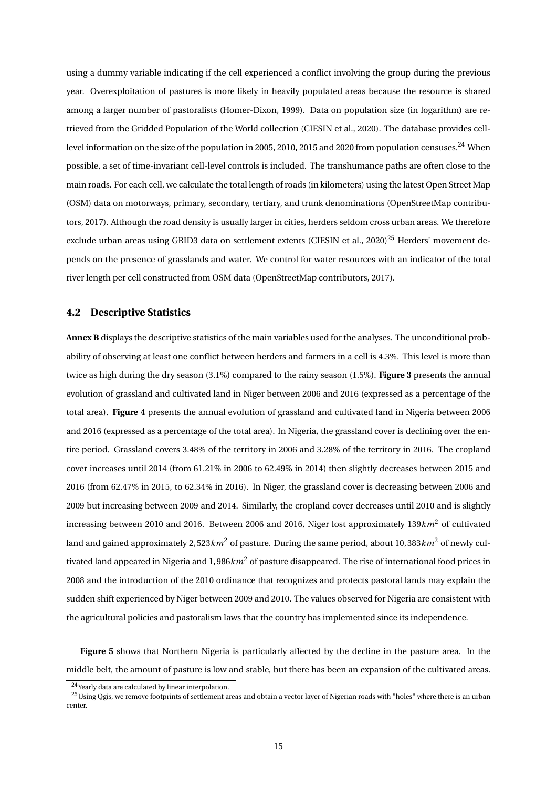using a dummy variable indicating if the cell experienced a conflict involving the group during the previous year. Overexploitation of pastures is more likely in heavily populated areas because the resource is shared among a larger number of pastoralists (Homer-Dixon, 1999). Data on population size (in logarithm) are retrieved from the Gridded Population of the World collection (CIESIN et al., 2020). The database provides celllevel information on the size of the population in 2005, 2010, 2015 and 2020 from population censuses.<sup>24</sup> When possible, a set of time-invariant cell-level controls is included. The transhumance paths are often close to the main roads. For each cell, we calculate the total length of roads (in kilometers) using the latest Open Street Map (OSM) data on motorways, primary, secondary, tertiary, and trunk denominations (OpenStreetMap contributors, 2017). Although the road density is usually larger in cities, herders seldom cross urban areas. We therefore exclude urban areas using GRID3 data on settlement extents (CIESIN et al., 2020)<sup>25</sup> Herders' movement depends on the presence of grasslands and water. We control for water resources with an indicator of the total river length per cell constructed from OSM data (OpenStreetMap contributors, 2017).

#### **4.2 Descriptive Statistics**

**Annex B** displays the descriptive statistics of the main variables used for the analyses. The unconditional probability of observing at least one conflict between herders and farmers in a cell is 4.3%. This level is more than twice as high during the dry season (3.1%) compared to the rainy season (1.5%). **Figure 3** presents the annual evolution of grassland and cultivated land in Niger between 2006 and 2016 (expressed as a percentage of the total area). **Figure 4** presents the annual evolution of grassland and cultivated land in Nigeria between 2006 and 2016 (expressed as a percentage of the total area). In Nigeria, the grassland cover is declining over the entire period. Grassland covers 3.48% of the territory in 2006 and 3.28% of the territory in 2016. The cropland cover increases until 2014 (from 61.21% in 2006 to 62.49% in 2014) then slightly decreases between 2015 and 2016 (from 62.47% in 2015, to 62.34% in 2016). In Niger, the grassland cover is decreasing between 2006 and 2009 but increasing between 2009 and 2014. Similarly, the cropland cover decreases until 2010 and is slightly increasing between 2010 and 2016. Between 2006 and 2016, Niger lost approximately 139*km*<sup>2</sup> of cultivated land and gained approximately 2, 523*km*<sup>2</sup> of pasture. During the same period, about 10, 383*km*<sup>2</sup> of newly cultivated land appeared in Nigeria and 1, 986*km*<sup>2</sup> of pasture disappeared. The rise of international food prices in 2008 and the introduction of the 2010 ordinance that recognizes and protects pastoral lands may explain the sudden shift experienced by Niger between 2009 and 2010. The values observed for Nigeria are consistent with the agricultural policies and pastoralism laws that the country has implemented since its independence.

**Figure 5** shows that Northern Nigeria is particularly affected by the decline in the pasture area. In the middle belt, the amount of pasture is low and stable, but there has been an expansion of the cultivated areas.

<sup>24</sup>Yearly data are calculated by linear interpolation.

<sup>&</sup>lt;sup>25</sup>Using Qgis, we remove footprints of settlement areas and obtain a vector layer of Nigerian roads with "holes" where there is an urban center.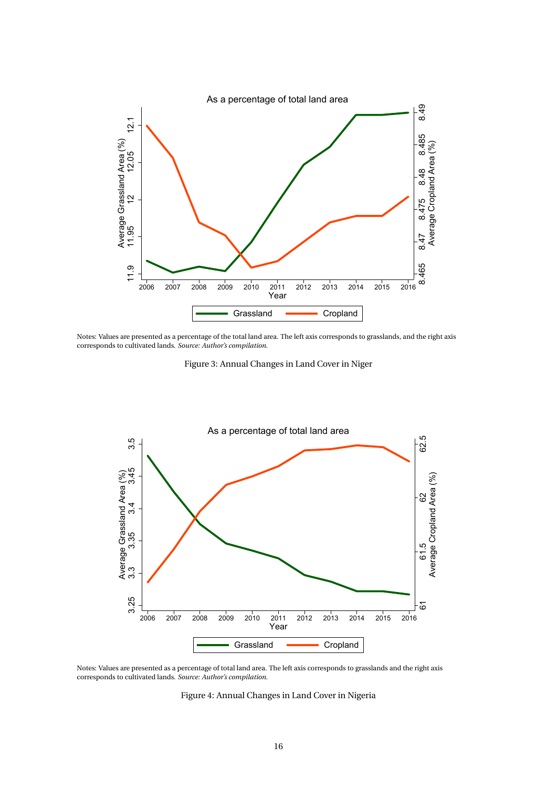

Notes: Values are presented as a percentage of the total land area. The left axis corresponds to grasslands, and the right axis corresponds to cultivated lands. *Source: Author's compilation.*

Figure 3: Annual Changes in Land Cover in Niger



Notes: Values are presented as a percentage of total land area. The left axis corresponds to grasslands and the right axis corresponds to cultivated lands. *Source: Author's compilation.*

Figure 4: Annual Changes in Land Cover in Nigeria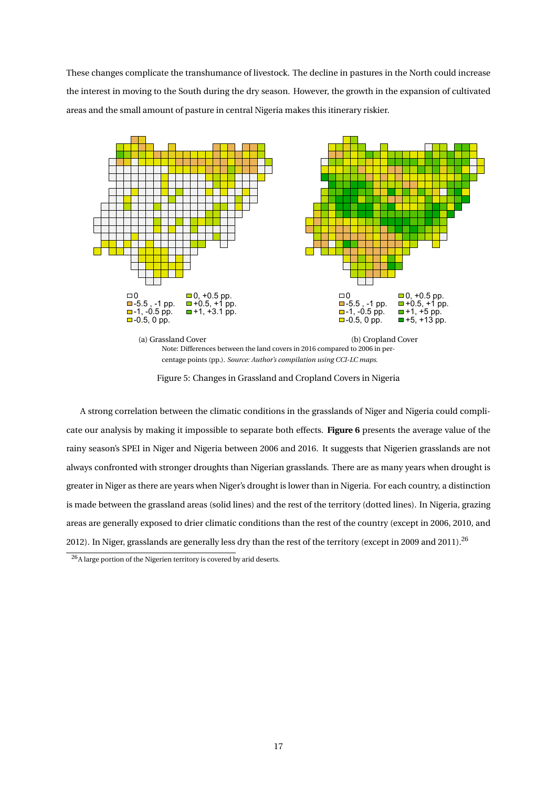These changes complicate the transhumance of livestock. The decline in pastures in the North could increase the interest in moving to the South during the dry season. However, the growth in the expansion of cultivated areas and the small amount of pasture in central Nigeria makes this itinerary riskier.



Figure 5: Changes in Grassland and Cropland Covers in Nigeria

A strong correlation between the climatic conditions in the grasslands of Niger and Nigeria could complicate our analysis by making it impossible to separate both effects. **Figure 6** presents the average value of the rainy season's SPEI in Niger and Nigeria between 2006 and 2016. It suggests that Nigerien grasslands are not always confronted with stronger droughts than Nigerian grasslands. There are as many years when drought is greater in Niger as there are years when Niger's drought is lower than in Nigeria. For each country, a distinction is made between the grassland areas (solid lines) and the rest of the territory (dotted lines). In Nigeria, grazing areas are generally exposed to drier climatic conditions than the rest of the country (except in 2006, 2010, and 2012). In Niger, grasslands are generally less dry than the rest of the territory (except in 2009 and 2011).<sup>26</sup>

 $26A$  large portion of the Nigerien territory is covered by arid deserts.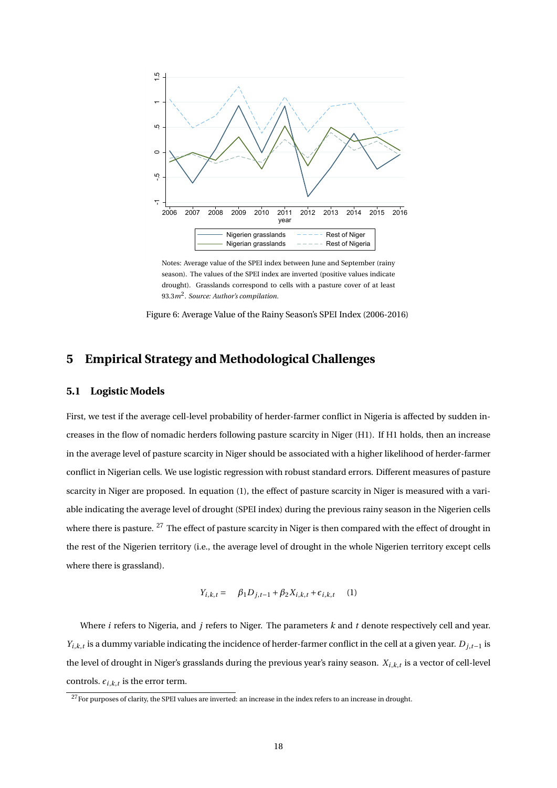

Notes: Average value of the SPEI index between June and September (rainy season). The values of the SPEI index are inverted (positive values indicate drought). Grasslands correspond to cells with a pasture cover of at least 93.3*m*<sup>2</sup> . *Source: Author's compilation.*

Figure 6: Average Value of the Rainy Season's SPEI Index (2006-2016)

## **5 Empirical Strategy and Methodological Challenges**

#### **5.1 Logistic Models**

First, we test if the average cell-level probability of herder-farmer conflict in Nigeria is affected by sudden increases in the flow of nomadic herders following pasture scarcity in Niger (H1). If H1 holds, then an increase in the average level of pasture scarcity in Niger should be associated with a higher likelihood of herder-farmer conflict in Nigerian cells. We use logistic regression with robust standard errors. Different measures of pasture scarcity in Niger are proposed. In equation (1), the effect of pasture scarcity in Niger is measured with a variable indicating the average level of drought (SPEI index) during the previous rainy season in the Nigerien cells where there is pasture. <sup>27</sup> The effect of pasture scarcity in Niger is then compared with the effect of drought in the rest of the Nigerien territory (i.e., the average level of drought in the whole Nigerien territory except cells where there is grassland).

$$
Y_{i,k,t} = \beta_1 D_{j,t-1} + \beta_2 X_{i,k,t} + \epsilon_{i,k,t} \tag{1}
$$

Where *i* refers to Nigeria, and *j* refers to Niger. The parameters *k* and *t* denote respectively cell and year. *Yi*,*k*,*<sup>t</sup>* is a dummy variable indicating the incidence of herder-farmer conflict in the cell at a given year. *Dj*,*t*−<sup>1</sup> is the level of drought in Niger's grasslands during the previous year's rainy season. *Xi*,*k*,*<sup>t</sup>* is a vector of cell-level controls.  $\epsilon_{i,k,t}$  is the error term.

<sup>&</sup>lt;sup>27</sup>For purposes of clarity, the SPEI values are inverted: an increase in the index refers to an increase in drought.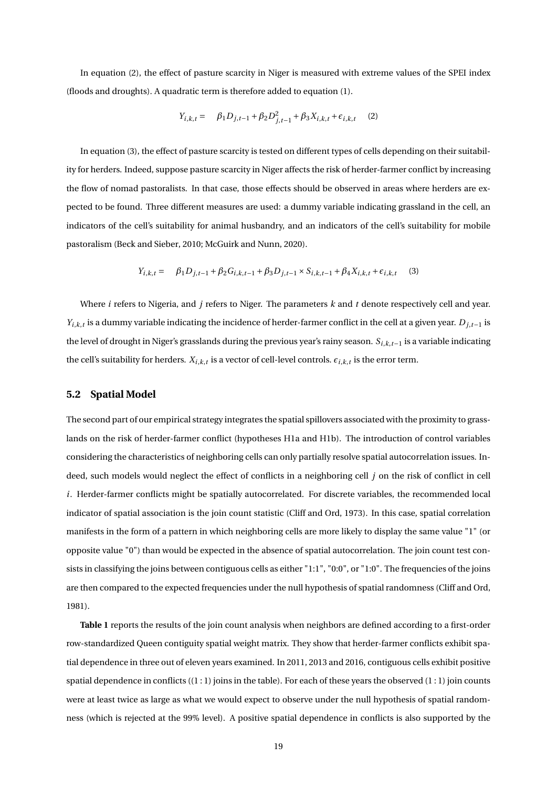In equation (2), the effect of pasture scarcity in Niger is measured with extreme values of the SPEI index (floods and droughts). A quadratic term is therefore added to equation (1).

$$
Y_{i,k,t} = \beta_1 D_{j,t-1} + \beta_2 D_{j,t-1}^2 + \beta_3 X_{i,k,t} + \epsilon_{i,k,t} \tag{2}
$$

In equation (3), the effect of pasture scarcity is tested on different types of cells depending on their suitability for herders. Indeed, suppose pasture scarcity in Niger affects the risk of herder-farmer conflict by increasing the flow of nomad pastoralists. In that case, those effects should be observed in areas where herders are expected to be found. Three different measures are used: a dummy variable indicating grassland in the cell, an indicators of the cell's suitability for animal husbandry, and an indicators of the cell's suitability for mobile pastoralism (Beck and Sieber, 2010; McGuirk and Nunn, 2020).

$$
Y_{i,k,t} = \beta_1 D_{j,t-1} + \beta_2 G_{i,k,t-1} + \beta_3 D_{j,t-1} \times S_{i,k,t-1} + \beta_4 X_{i,k,t} + \epsilon_{i,k,t} \tag{3}
$$

Where *i* refers to Nigeria, and *j* refers to Niger. The parameters *k* and *t* denote respectively cell and year. *Yi*,*k*,*<sup>t</sup>* is a dummy variable indicating the incidence of herder-farmer conflict in the cell at a given year. *Dj*,*t*−<sup>1</sup> is the level of drought in Niger's grasslands during the previous year's rainy season. *Si*,*k*,*t*−<sup>1</sup> is a variable indicating the cell's suitability for herders.  $X_{i,k,t}$  is a vector of cell-level controls.  $\epsilon_{i,k,t}$  is the error term.

#### **5.2 Spatial Model**

The second part of our empirical strategy integrates the spatial spillovers associated with the proximity to grasslands on the risk of herder-farmer conflict (hypotheses H1a and H1b). The introduction of control variables considering the characteristics of neighboring cells can only partially resolve spatial autocorrelation issues. Indeed, such models would neglect the effect of conflicts in a neighboring cell *j* on the risk of conflict in cell *i*. Herder-farmer conflicts might be spatially autocorrelated. For discrete variables, the recommended local indicator of spatial association is the join count statistic (Cliff and Ord, 1973). In this case, spatial correlation manifests in the form of a pattern in which neighboring cells are more likely to display the same value "1" (or opposite value "0") than would be expected in the absence of spatial autocorrelation. The join count test consists in classifying the joins between contiguous cells as either "1:1", "0:0", or "1:0". The frequencies of the joins are then compared to the expected frequencies under the null hypothesis of spatial randomness (Cliff and Ord, 1981).

**Table 1** reports the results of the join count analysis when neighbors are defined according to a first-order row-standardized Queen contiguity spatial weight matrix. They show that herder-farmer conflicts exhibit spatial dependence in three out of eleven years examined. In 2011, 2013 and 2016, contiguous cells exhibit positive spatial dependence in conflicts  $((1:1)$  joins in the table). For each of these years the observed  $(1:1)$  join counts were at least twice as large as what we would expect to observe under the null hypothesis of spatial randomness (which is rejected at the 99% level). A positive spatial dependence in conflicts is also supported by the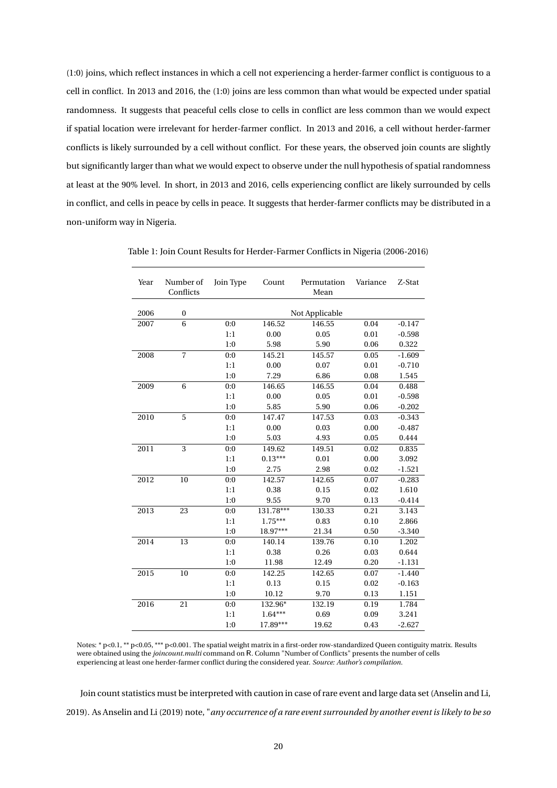(1:0) joins, which reflect instances in which a cell not experiencing a herder-farmer conflict is contiguous to a cell in conflict. In 2013 and 2016, the (1:0) joins are less common than what would be expected under spatial randomness. It suggests that peaceful cells close to cells in conflict are less common than we would expect if spatial location were irrelevant for herder-farmer conflict. In 2013 and 2016, a cell without herder-farmer conflicts is likely surrounded by a cell without conflict. For these years, the observed join counts are slightly but significantly larger than what we would expect to observe under the null hypothesis of spatial randomness at least at the 90% level. In short, in 2013 and 2016, cells experiencing conflict are likely surrounded by cells in conflict, and cells in peace by cells in peace. It suggests that herder-farmer conflicts may be distributed in a non-uniform way in Nigeria.

| Year | Number of<br>Conflicts | Join Type | Count     | Permutation<br>Mean | Variance | Z-Stat   |
|------|------------------------|-----------|-----------|---------------------|----------|----------|
|      |                        |           |           |                     |          |          |
| 2006 | $\boldsymbol{0}$       |           |           | Not Applicable      |          |          |
| 2007 | 6                      | 0:0       | 146.52    | 146.55              | 0.04     | $-0.147$ |
|      |                        | 1:1       | 0.00      | 0.05                | 0.01     | $-0.598$ |
|      |                        | 1:0       | 5.98      | 5.90                | 0.06     | 0.322    |
| 2008 | $\overline{7}$         | 0:0       | 145.21    | 145.57              | 0.05     | $-1.609$ |
|      |                        | 1:1       | 0.00      | 0.07                | 0.01     | $-0.710$ |
|      |                        | 1:0       | 7.29      | 6.86                | 0.08     | 1.545    |
| 2009 | 6                      | 0:0       | 146.65    | 146.55              | 0.04     | 0.488    |
|      |                        | 1:1       | 0.00      | 0.05                | 0.01     | $-0.598$ |
|      |                        | 1:0       | 5.85      | 5.90                | 0.06     | $-0.202$ |
| 2010 | 5                      | 0:0       | 147.47    | 147.53              | 0.03     | $-0.343$ |
|      |                        | 1:1       | 0.00      | 0.03                | 0.00     | $-0.487$ |
|      |                        | 1:0       | 5.03      | 4.93                | 0.05     | 0.444    |
| 2011 | 3                      | 0:0       | 149.62    | 149.51              | 0.02     | 0.835    |
|      |                        | 1:1       | $0.13***$ | 0.01                | 0.00     | 3.092    |
|      |                        | 1:0       | 2.75      | 2.98                | 0.02     | $-1.521$ |
| 2012 | 10                     | 0:0       | 142.57    | 142.65              | 0.07     | $-0.283$ |
|      |                        | 1:1       | 0.38      | 0.15                | 0.02     | 1.610    |
|      |                        | 1:0       | 9.55      | 9.70                | 0.13     | $-0.414$ |
| 2013 | 23                     | 0:0       | 131.78*** | 130.33              | 0.21     | 3.143    |
|      |                        | 1:1       | $1.75***$ | 0.83                | 0.10     | 2.866    |
|      |                        | 1:0       | 18.97***  | 21.34               | 0.50     | $-3.340$ |
| 2014 | 13                     | 0:0       | 140.14    | 139.76              | 0.10     | 1.202    |
|      |                        | 1:1       | 0.38      | 0.26                | 0.03     | 0.644    |
|      |                        | 1:0       | 11.98     | 12.49               | 0.20     | $-1.131$ |
| 2015 | 10                     | 0:0       | 142.25    | 142.65              | 0.07     | $-1.440$ |
|      |                        | 1:1       | 0.13      | 0.15                | 0.02     | $-0.163$ |
|      |                        | 1:0       | 10.12     | 9.70                | 0.13     | 1.151    |
| 2016 | 21                     | 0:0       | 132.96*   | 132.19              | 0.19     | 1.784    |
|      |                        | 1:1       | $1.64***$ | 0.69                | 0.09     | 3.241    |
|      |                        | 1:0       | 17.89***  | 19.62               | 0.43     | $-2.627$ |

Table 1: Join Count Results for Herder-Farmer Conflicts in Nigeria (2006-2016)

Notes: \* p<0.1, \*\* p<0.05, \*\*\* p<0.001. The spatial weight matrix in a first-order row-standardized Queen contiguity matrix. Results were obtained using the *joincount.multi* command on R. Column "Number of Conflicts" presents the number of cells experiencing at least one herder-farmer conflict during the considered year. *Source: Author's compilation.*

Join count statistics must be interpreted with caution in case of rare event and large data set (Anselin and Li, 2019). As Anselin and Li (2019) note, "*any occurrence of a rare event surrounded by another event is likely to be so*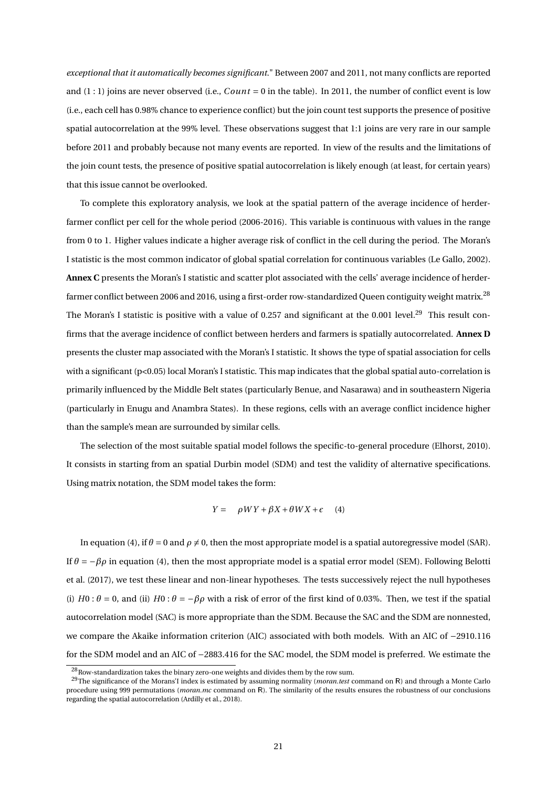*exceptional that it automatically becomes significant*." Between 2007 and 2011, not many conflicts are reported and  $(1:1)$  joins are never observed (i.e.,  $Count = 0$  in the table). In 2011, the number of conflict event is low (i.e., each cell has 0.98% chance to experience conflict) but the join count test supports the presence of positive spatial autocorrelation at the 99% level. These observations suggest that 1:1 joins are very rare in our sample before 2011 and probably because not many events are reported. In view of the results and the limitations of the join count tests, the presence of positive spatial autocorrelation is likely enough (at least, for certain years) that this issue cannot be overlooked.

To complete this exploratory analysis, we look at the spatial pattern of the average incidence of herderfarmer conflict per cell for the whole period (2006-2016). This variable is continuous with values in the range from 0 to 1. Higher values indicate a higher average risk of conflict in the cell during the period. The Moran's I statistic is the most common indicator of global spatial correlation for continuous variables (Le Gallo, 2002). **Annex C** presents the Moran's I statistic and scatter plot associated with the cells' average incidence of herderfarmer conflict between 2006 and 2016, using a first-order row-standardized Queen contiguity weight matrix.<sup>28</sup> The Moran's I statistic is positive with a value of 0.257 and significant at the 0.001 level.<sup>29</sup> This result confirms that the average incidence of conflict between herders and farmers is spatially autocorrelated. **Annex D** presents the cluster map associated with the Moran's I statistic. It shows the type of spatial association for cells with a significant (p<0.05) local Moran's I statistic. This map indicates that the global spatial auto-correlation is primarily influenced by the Middle Belt states (particularly Benue, and Nasarawa) and in southeastern Nigeria (particularly in Enugu and Anambra States). In these regions, cells with an average conflict incidence higher than the sample's mean are surrounded by similar cells.

The selection of the most suitable spatial model follows the specific-to-general procedure (Elhorst, 2010). It consists in starting from an spatial Durbin model (SDM) and test the validity of alternative specifications. Using matrix notation, the SDM model takes the form:

$$
Y = \rho W Y + \beta X + \theta W X + \epsilon \quad (4)
$$

In equation (4), if  $\theta$  = 0 and  $\rho \neq 0$ , then the most appropriate model is a spatial autoregressive model (SAR). If  $θ = -βρ$  in equation (4), then the most appropriate model is a spatial error model (SEM). Following Belotti et al. (2017), we test these linear and non-linear hypotheses. The tests successively reject the null hypotheses (i)  $H0: \theta = 0$ , and (ii)  $H0: \theta = -\beta \rho$  with a risk of error of the first kind of 0.03%. Then, we test if the spatial autocorrelation model (SAC) is more appropriate than the SDM. Because the SAC and the SDM are nonnested, we compare the Akaike information criterion (AIC) associated with both models. With an AIC of −2910.116 for the SDM model and an AIC of −2883.416 for the SAC model, the SDM model is preferred. We estimate the

<sup>&</sup>lt;sup>28</sup>Row-standardization takes the binary zero-one weights and divides them by the row sum.

<sup>29</sup>The significance of the Morans'I index is estimated by assuming normality (*moran.test* command on R) and through a Monte Carlo procedure using 999 permutations (*moran.mc* command on R). The similarity of the results ensures the robustness of our conclusions regarding the spatial autocorrelation (Ardilly et al., 2018).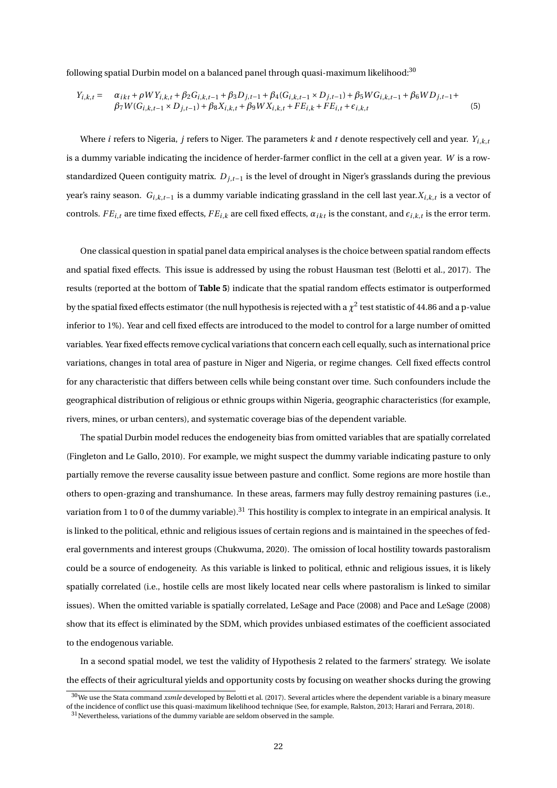following spatial Durbin model on a balanced panel through quasi-maximum likelihood:<sup>30</sup>

$$
Y_{i,k,t} = \alpha_{ikt} + \rho W Y_{i,k,t} + \beta_2 G_{i,k,t-1} + \beta_3 D_{j,t-1} + \beta_4 (G_{i,k,t-1} \times D_{j,t-1}) + \beta_5 W G_{i,k,t-1} + \beta_6 W D_{j,t-1} + \beta_7 W (G_{i,k,t-1} \times D_{j,t-1}) + \beta_8 X_{i,k,t} + \beta_9 W X_{i,k,t} + FE_{i,k} + FE_{i,t} + \epsilon_{i,k,t}
$$
\n
$$
(5)
$$

Where *i* refers to Nigeria, *j* refers to Niger. The parameters  $k$  and  $t$  denote respectively cell and year.  $Y_{i,k,t}$ is a dummy variable indicating the incidence of herder-farmer conflict in the cell at a given year. *W* is a rowstandardized Queen contiguity matrix. *Dj*,*t*−<sup>1</sup> is the level of drought in Niger's grasslands during the previous year's rainy season. *Gi*,*k*,*t*−<sup>1</sup> is a dummy variable indicating grassland in the cell last year.*Xi*,*k*,*<sup>t</sup>* is a vector of controls. *FE*<sub>*i*</sub>,*t* are time fixed effects, *FE*<sub>*i*,*k*</sub> are cell fixed effects,  $α<sub>ikt</sub>$  is the constant, and  $ε<sub>i,k,t</sub>$  is the error term.

One classical question in spatial panel data empirical analyses is the choice between spatial random effects and spatial fixed effects. This issue is addressed by using the robust Hausman test (Belotti et al., 2017). The results (reported at the bottom of **Table 5**) indicate that the spatial random effects estimator is outperformed by the spatial fixed effects estimator (the null hypothesis is rejected with a  $\chi^2$  test statistic of 44.86 and a p-value inferior to 1%). Year and cell fixed effects are introduced to the model to control for a large number of omitted variables. Year fixed effects remove cyclical variations that concern each cell equally, such as international price variations, changes in total area of pasture in Niger and Nigeria, or regime changes. Cell fixed effects control for any characteristic that differs between cells while being constant over time. Such confounders include the geographical distribution of religious or ethnic groups within Nigeria, geographic characteristics (for example, rivers, mines, or urban centers), and systematic coverage bias of the dependent variable.

The spatial Durbin model reduces the endogeneity bias from omitted variables that are spatially correlated (Fingleton and Le Gallo, 2010). For example, we might suspect the dummy variable indicating pasture to only partially remove the reverse causality issue between pasture and conflict. Some regions are more hostile than others to open-grazing and transhumance. In these areas, farmers may fully destroy remaining pastures (i.e., variation from 1 to 0 of the dummy variable).<sup>31</sup> This hostility is complex to integrate in an empirical analysis. It is linked to the political, ethnic and religious issues of certain regions and is maintained in the speeches of federal governments and interest groups (Chukwuma, 2020). The omission of local hostility towards pastoralism could be a source of endogeneity. As this variable is linked to political, ethnic and religious issues, it is likely spatially correlated (i.e., hostile cells are most likely located near cells where pastoralism is linked to similar issues). When the omitted variable is spatially correlated, LeSage and Pace (2008) and Pace and LeSage (2008) show that its effect is eliminated by the SDM, which provides unbiased estimates of the coefficient associated to the endogenous variable.

In a second spatial model, we test the validity of Hypothesis 2 related to the farmers' strategy. We isolate the effects of their agricultural yields and opportunity costs by focusing on weather shocks during the growing

<sup>30</sup>We use the Stata command *xsmle* developed by Belotti et al. (2017). Several articles where the dependent variable is a binary measure of the incidence of conflict use this quasi-maximum likelihood technique (See, for example, Ralston, 2013; Harari and Ferrara, 2018).

 $\rm ^{31}$  Nevertheless, variations of the dummy variable are seldom observed in the sample.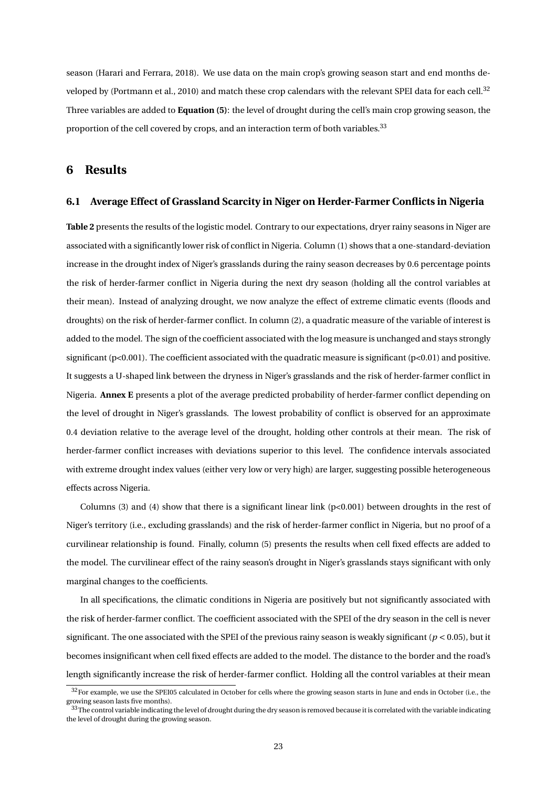season (Harari and Ferrara, 2018). We use data on the main crop's growing season start and end months developed by (Portmann et al., 2010) and match these crop calendars with the relevant SPEI data for each cell.<sup>32</sup> Three variables are added to **Equation (5)**: the level of drought during the cell's main crop growing season, the proportion of the cell covered by crops, and an interaction term of both variables.<sup>33</sup>

#### **6 Results**

#### **6.1 Average Effect of Grassland Scarcity in Niger on Herder-Farmer Conflicts in Nigeria**

**Table 2** presents the results of the logistic model. Contrary to our expectations, dryer rainy seasons in Niger are associated with a significantly lower risk of conflict in Nigeria. Column (1) shows that a one-standard-deviation increase in the drought index of Niger's grasslands during the rainy season decreases by 0.6 percentage points the risk of herder-farmer conflict in Nigeria during the next dry season (holding all the control variables at their mean). Instead of analyzing drought, we now analyze the effect of extreme climatic events (floods and droughts) on the risk of herder-farmer conflict. In column (2), a quadratic measure of the variable of interest is added to the model. The sign of the coefficient associated with the log measure is unchanged and stays strongly significant (p<0.001). The coefficient associated with the quadratic measure is significant (p<0.01) and positive. It suggests a U-shaped link between the dryness in Niger's grasslands and the risk of herder-farmer conflict in Nigeria. **Annex E** presents a plot of the average predicted probability of herder-farmer conflict depending on the level of drought in Niger's grasslands. The lowest probability of conflict is observed for an approximate 0.4 deviation relative to the average level of the drought, holding other controls at their mean. The risk of herder-farmer conflict increases with deviations superior to this level. The confidence intervals associated with extreme drought index values (either very low or very high) are larger, suggesting possible heterogeneous effects across Nigeria.

Columns (3) and (4) show that there is a significant linear link ( $p<0.001$ ) between droughts in the rest of Niger's territory (i.e., excluding grasslands) and the risk of herder-farmer conflict in Nigeria, but no proof of a curvilinear relationship is found. Finally, column (5) presents the results when cell fixed effects are added to the model. The curvilinear effect of the rainy season's drought in Niger's grasslands stays significant with only marginal changes to the coefficients.

In all specifications, the climatic conditions in Nigeria are positively but not significantly associated with the risk of herder-farmer conflict. The coefficient associated with the SPEI of the dry season in the cell is never significant. The one associated with the SPEI of the previous rainy season is weakly significant ( $p < 0.05$ ), but it becomes insignificant when cell fixed effects are added to the model. The distance to the border and the road's length significantly increase the risk of herder-farmer conflict. Holding all the control variables at their mean

<sup>&</sup>lt;sup>32</sup>For example, we use the SPEI05 calculated in October for cells where the growing season starts in June and ends in October (i.e., the growing season lasts five months).

 $33$ The control variable indicating the level of drought during the dry season is removed because it is correlated with the variable indicating the level of drought during the growing season.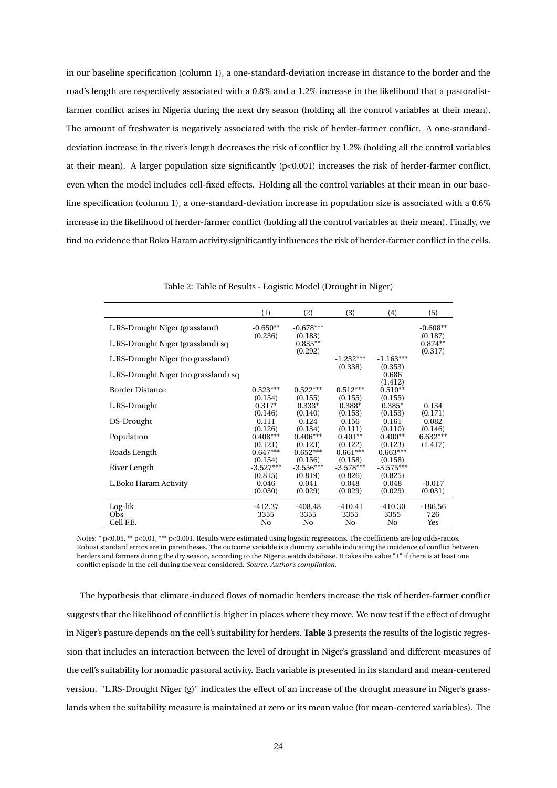in our baseline specification (column 1), a one-standard-deviation increase in distance to the border and the road's length are respectively associated with a 0.8% and a 1.2% increase in the likelihood that a pastoralistfarmer conflict arises in Nigeria during the next dry season (holding all the control variables at their mean). The amount of freshwater is negatively associated with the risk of herder-farmer conflict. A one-standarddeviation increase in the river's length decreases the risk of conflict by 1.2% (holding all the control variables at their mean). A larger population size significantly (p<0.001) increases the risk of herder-farmer conflict, even when the model includes cell-fixed effects. Holding all the control variables at their mean in our baseline specification (column 1), a one-standard-deviation increase in population size is associated with a 0.6% increase in the likelihood of herder-farmer conflict (holding all the control variables at their mean). Finally, we find no evidence that Boko Haram activity significantly influences the risk of herder-farmer conflict in the cells.

|                                      | (1)                         | (2)                         | (3)                         | (4)                         | (5)                   |
|--------------------------------------|-----------------------------|-----------------------------|-----------------------------|-----------------------------|-----------------------|
| L.RS-Drought Niger (grassland)       | $-0.650**$                  | $-0.678***$                 |                             |                             | $-0.608**$            |
| L.RS-Drought Niger (grassland) sq    | (0.236)                     | (0.183)<br>$0.835**$        |                             |                             | (0.187)<br>$0.874**$  |
| L.RS-Drought Niger (no grassland)    |                             | (0.292)                     | $-1.232***$<br>(0.338)      | $-1.163***$                 | (0.317)               |
| L.RS-Drought Niger (no grassland) sq |                             |                             |                             | (0.353)<br>0.686            |                       |
| <b>Border Distance</b>               | $0.523***$                  | $0.522***$                  | $0.512***$                  | (1.412)<br>$0.510**$        |                       |
| L.RS-Drought                         | (0.154)<br>$0.317*$         | (0.155)<br>$0.333*$         | (0.155)<br>$0.388*$         | (0.155)<br>$0.385*$         | 0.134                 |
| DS-Drought                           | (0.146)<br>0.111            | (0.140)<br>0.124            | (0.153)<br>0.156            | (0.153)<br>0.161            | (0.171)<br>0.082      |
| Population                           | (0.126)<br>$0.408***$       | (0.134)<br>$0.406***$       | (0.111)<br>$0.401**$        | (0.110)<br>$0.400**$        | (0.146)<br>$6.632***$ |
| Roads Length                         | (0.121)<br>$0.647***$       | (0.123)<br>$0.652***$       | (0.122)<br>$0.661***$       | (0.123)<br>$0.663***$       | (1.417)               |
| River Length                         | (0.154)<br>$-3.527***$      | (0.156)<br>$-3.556***$      | (0.158)<br>$-3.578***$      | (0.158)<br>$-3.575***$      |                       |
| L.Boko Haram Activity                | (0.815)<br>0.046<br>(0.030) | (0.819)<br>0.041<br>(0.029) | (0.826)<br>0.048<br>(0.029) | (0.825)<br>0.048<br>(0.029) | $-0.017$<br>(0.031)   |
|                                      |                             |                             |                             |                             |                       |
| Log-lik                              | $-412.37$                   | $-408.48$                   | $-410.41$                   | $-410.30$                   | $-186.56$             |
| Obs<br>Cell F.E.                     | 3355                        | 3355<br>No                  | 3355                        | 3355<br>No                  | 726                   |
|                                      | No                          |                             | No                          |                             | Yes                   |

Notes: \* p<0.05, \*\* p<0.01, \*\*\* p<0.001. Results were estimated using logistic regressions. The coefficients are log odds-ratios. Robust standard errors are in parentheses. The outcome variable is a dummy variable indicating the incidence of conflict between herders and farmers during the dry season, according to the Nigeria watch database. It takes the value "1" if there is at least one conflict episode in the cell during the year considered. *Source: Author's compilation.*

The hypothesis that climate-induced flows of nomadic herders increase the risk of herder-farmer conflict suggests that the likelihood of conflict is higher in places where they move. We now test if the effect of drought in Niger's pasture depends on the cell's suitability for herders. **Table 3** presents the results of the logistic regression that includes an interaction between the level of drought in Niger's grassland and different measures of the cell's suitability for nomadic pastoral activity. Each variable is presented in its standard and mean-centered version. "L.RS-Drought Niger (g)" indicates the effect of an increase of the drought measure in Niger's grasslands when the suitability measure is maintained at zero or its mean value (for mean-centered variables). The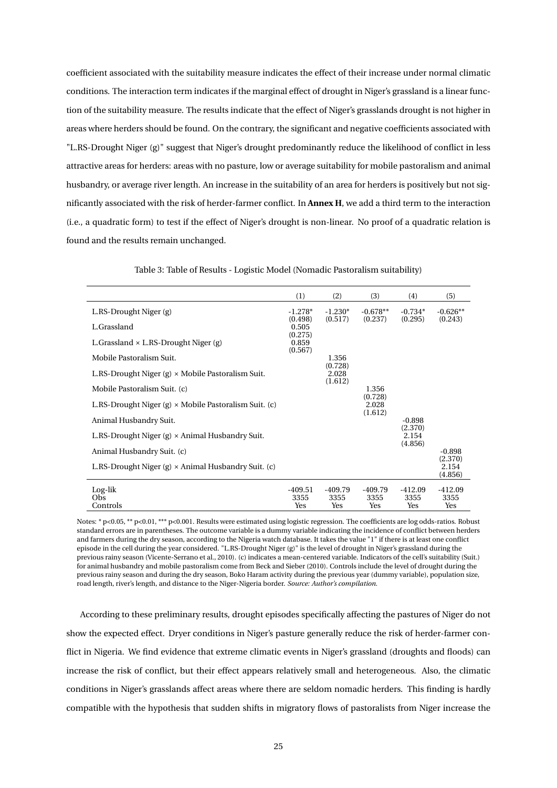coefficient associated with the suitability measure indicates the effect of their increase under normal climatic conditions. The interaction term indicates if the marginal effect of drought in Niger's grassland is a linear function of the suitability measure. The results indicate that the effect of Niger's grasslands drought is not higher in areas where herders should be found. On the contrary, the significant and negative coefficients associated with "L.RS-Drought Niger (g)" suggest that Niger's drought predominantly reduce the likelihood of conflict in less attractive areas for herders: areas with no pasture, low or average suitability for mobile pastoralism and animal husbandry, or average river length. An increase in the suitability of an area for herders is positively but not significantly associated with the risk of herder-farmer conflict. In **Annex H**, we add a third term to the interaction (i.e., a quadratic form) to test if the effect of Niger's drought is non-linear. No proof of a quadratic relation is found and the results remain unchanged.

|                                                              | (1)                         | (2)                         | (3)                         | (4)                         | (5)                         |
|--------------------------------------------------------------|-----------------------------|-----------------------------|-----------------------------|-----------------------------|-----------------------------|
| L.RS-Drought Niger (g)                                       | $-1.278*$<br>(0.498)        | $-1.230*$<br>(0.517)        | $-0.678**$<br>(0.237)       | $-0.734*$<br>(0.295)        | $-0.626**$<br>(0.243)       |
| L.Grassland                                                  | 0.505                       |                             |                             |                             |                             |
| L. Grassland $\times$ L.RS-Drought Niger (g)                 | (0.275)<br>0.859<br>(0.567) |                             |                             |                             |                             |
| Mobile Pastoralism Suit.                                     |                             | 1.356                       |                             |                             |                             |
| L.RS-Drought Niger $(g) \times$ Mobile Pastoralism Suit.     |                             | (0.728)<br>2.028<br>(1.612) |                             |                             |                             |
| Mobile Pastoralism Suit. (c)                                 |                             |                             | 1.356                       |                             |                             |
| L.RS-Drought Niger $(g) \times$ Mobile Pastoralism Suit. (c) |                             |                             | (0.728)<br>2.028<br>(1.612) |                             |                             |
| Animal Husbandry Suit.                                       |                             |                             |                             | $-0.898$                    |                             |
| L.RS-Drought Niger $(g) \times$ Animal Husbandry Suit.       |                             |                             |                             | (2.370)<br>2.154<br>(4.856) |                             |
| Animal Husbandry Suit. (c)                                   |                             |                             |                             |                             | $-0.898$                    |
| L.RS-Drought Niger (g) $\times$ Animal Husbandry Suit. (c)   |                             |                             |                             |                             | (2.370)<br>2.154<br>(4.856) |
| Log-lik<br>Obs<br>Controls                                   | -409.51<br>3355<br>Yes      | -409.79<br>3355<br>Yes      | -409.79<br>3355<br>Yes      | -412.09<br>3355<br>Yes      | $-412.09$<br>3355<br>Yes    |

Table 3: Table of Results - Logistic Model (Nomadic Pastoralism suitability)

Notes: \* p<0.05, \*\* p<0.01, \*\*\* p<0.001. Results were estimated using logistic regression. The coefficients are log odds-ratios. Robust standard errors are in parentheses. The outcome variable is a dummy variable indicating the incidence of conflict between herders and farmers during the dry season, according to the Nigeria watch database. It takes the value "1" if there is at least one conflict episode in the cell during the year considered. "L.RS-Drought Niger (g)" is the level of drought in Niger's grassland during the previous rainy season (Vicente-Serrano et al., 2010). (c) indicates a mean-centered variable. Indicators of the cell's suitability (Suit.) for animal husbandry and mobile pastoralism come from Beck and Sieber (2010). Controls include the level of drought during the previous rainy season and during the dry season, Boko Haram activity during the previous year (dummy variable), population size, road length, river's length, and distance to the Niger-Nigeria border. *Source: Author's compilation.*

According to these preliminary results, drought episodes specifically affecting the pastures of Niger do not show the expected effect. Dryer conditions in Niger's pasture generally reduce the risk of herder-farmer conflict in Nigeria. We find evidence that extreme climatic events in Niger's grassland (droughts and floods) can increase the risk of conflict, but their effect appears relatively small and heterogeneous. Also, the climatic conditions in Niger's grasslands affect areas where there are seldom nomadic herders. This finding is hardly compatible with the hypothesis that sudden shifts in migratory flows of pastoralists from Niger increase the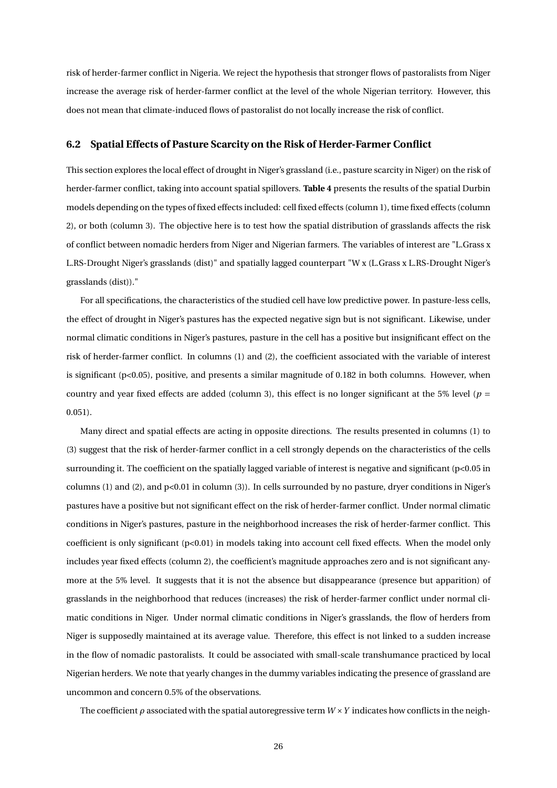risk of herder-farmer conflict in Nigeria. We reject the hypothesis that stronger flows of pastoralists from Niger increase the average risk of herder-farmer conflict at the level of the whole Nigerian territory. However, this does not mean that climate-induced flows of pastoralist do not locally increase the risk of conflict.

#### **6.2 Spatial Effects of Pasture Scarcity on the Risk of Herder-Farmer Conflict**

This section explores the local effect of drought in Niger's grassland (i.e., pasture scarcity in Niger) on the risk of herder-farmer conflict, taking into account spatial spillovers. **Table 4** presents the results of the spatial Durbin models depending on the types of fixed effects included: cell fixed effects (column 1), time fixed effects (column 2), or both (column 3). The objective here is to test how the spatial distribution of grasslands affects the risk of conflict between nomadic herders from Niger and Nigerian farmers. The variables of interest are "L.Grass x L.RS-Drought Niger's grasslands (dist)" and spatially lagged counterpart "W x (L.Grass x L.RS-Drought Niger's grasslands (dist))."

For all specifications, the characteristics of the studied cell have low predictive power. In pasture-less cells, the effect of drought in Niger's pastures has the expected negative sign but is not significant. Likewise, under normal climatic conditions in Niger's pastures, pasture in the cell has a positive but insignificant effect on the risk of herder-farmer conflict. In columns (1) and (2), the coefficient associated with the variable of interest is significant (p<0.05), positive, and presents a similar magnitude of 0.182 in both columns. However, when country and year fixed effects are added (column 3), this effect is no longer significant at the 5% level (*p* = 0.051).

Many direct and spatial effects are acting in opposite directions. The results presented in columns (1) to (3) suggest that the risk of herder-farmer conflict in a cell strongly depends on the characteristics of the cells surrounding it. The coefficient on the spatially lagged variable of interest is negative and significant (p<0.05 in columns (1) and (2), and  $p<0.01$  in column (3)). In cells surrounded by no pasture, dryer conditions in Niger's pastures have a positive but not significant effect on the risk of herder-farmer conflict. Under normal climatic conditions in Niger's pastures, pasture in the neighborhood increases the risk of herder-farmer conflict. This coefficient is only significant (p<0.01) in models taking into account cell fixed effects. When the model only includes year fixed effects (column 2), the coefficient's magnitude approaches zero and is not significant anymore at the 5% level. It suggests that it is not the absence but disappearance (presence but apparition) of grasslands in the neighborhood that reduces (increases) the risk of herder-farmer conflict under normal climatic conditions in Niger. Under normal climatic conditions in Niger's grasslands, the flow of herders from Niger is supposedly maintained at its average value. Therefore, this effect is not linked to a sudden increase in the flow of nomadic pastoralists. It could be associated with small-scale transhumance practiced by local Nigerian herders. We note that yearly changes in the dummy variables indicating the presence of grassland are uncommon and concern 0.5% of the observations.

The coefficient  $\rho$  associated with the spatial autoregressive term  $W \times Y$  indicates how conflicts in the neigh-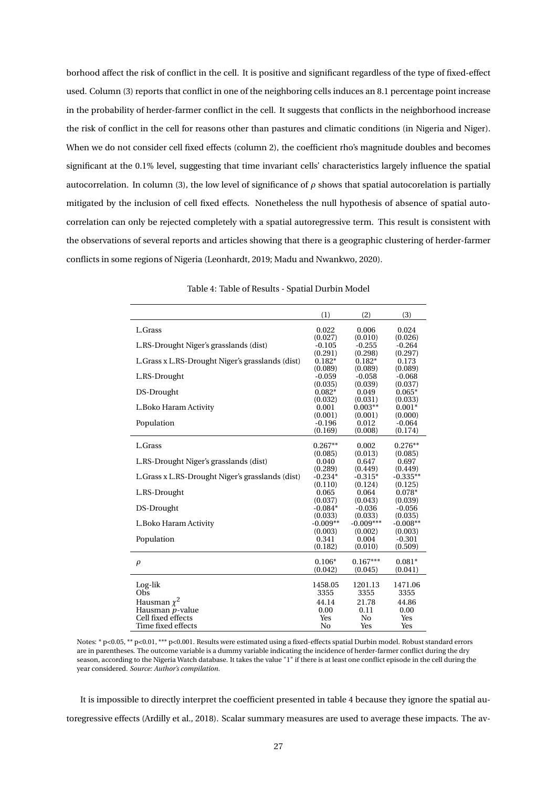borhood affect the risk of conflict in the cell. It is positive and significant regardless of the type of fixed-effect used. Column (3) reports that conflict in one of the neighboring cells induces an 8.1 percentage point increase in the probability of herder-farmer conflict in the cell. It suggests that conflicts in the neighborhood increase the risk of conflict in the cell for reasons other than pastures and climatic conditions (in Nigeria and Niger). When we do not consider cell fixed effects (column 2), the coefficient rho's magnitude doubles and becomes significant at the 0.1% level, suggesting that time invariant cells' characteristics largely influence the spatial autocorrelation. In column (3), the low level of significance of *ρ* shows that spatial autocorelation is partially mitigated by the inclusion of cell fixed effects. Nonetheless the null hypothesis of absence of spatial autocorrelation can only be rejected completely with a spatial autoregressive term. This result is consistent with the observations of several reports and articles showing that there is a geographic clustering of herder-farmer conflicts in some regions of Nigeria (Leonhardt, 2019; Madu and Nwankwo, 2020).

|                                                   | (1)             | (2)             | (3)             |
|---------------------------------------------------|-----------------|-----------------|-----------------|
| L.Grass                                           | 0.022           | 0.006           | 0.024           |
|                                                   | (0.027)         | (0.010)         | (0.026)         |
| L.RS-Drought Niger's grasslands (dist)            | $-0.105$        | $-0.255$        | $-0.264$        |
|                                                   | (0.291)         | (0.298)         | (0.297)         |
| L. Grass x L.RS-Drought Niger's grasslands (dist) | $0.182*$        | $0.182*$        | 0.173           |
|                                                   | (0.089)         | (0.089)         | (0.089)         |
| L.RS-Drought                                      | $-0.059$        | $-0.058$        | $-0.068$        |
|                                                   | (0.035)         | (0.039)         | (0.037)         |
| DS-Drought                                        | $0.082*$        | 0.049           | $0.065*$        |
|                                                   | (0.032)         | (0.031)         | (0.033)         |
| L.Boko Haram Activity                             | 0.001           | $0.003**$       | $0.001*$        |
|                                                   | (0.001)         | (0.001)         | (0.000)         |
| Population                                        | $-0.196$        | 0.012           | $-0.064$        |
|                                                   | (0.169)         | (0.008)         | (0.174)         |
| L.Grass                                           | $0.267**$       | 0.002           | $0.276**$       |
|                                                   | (0.085)         | (0.013)         | (0.085)         |
| L.RS-Drought Niger's grasslands (dist)            | 0.040           | 0.647           | 0.697           |
|                                                   | (0.289)         | (0.449)         | (0.449)         |
| L. Grass x L.RS-Drought Niger's grasslands (dist) | $-0.234*$       | $-0.315*$       | $-0.335**$      |
|                                                   | (0.110)         | (0.124)         | (0.125)         |
| L.RS-Drought                                      | 0.065           | 0.064           | $0.078*$        |
|                                                   | (0.037)         | (0.043)         | (0.039)         |
| DS-Drought                                        | $-0.084*$       | $-0.036$        | $-0.056$        |
|                                                   | (0.033)         | (0.033)         | (0.035)         |
| L.Boko Haram Activity                             | $-0.009**$      | $-0.009***$     | $-0.008**$      |
|                                                   | (0.003)         | (0.002)         | (0.003)         |
| Population                                        | 0.341           | 0.004           | $-0.301$        |
|                                                   | (0.182)         | (0.010)         | (0.509)         |
|                                                   |                 |                 |                 |
| $\rho$                                            | $0.106*$        | $0.167***$      | $0.081*$        |
|                                                   | (0.042)         | (0.045)         | (0.041)         |
|                                                   |                 |                 |                 |
| Log-lik<br>Obs                                    | 1458.05<br>3355 | 1201.13<br>3355 | 1471.06<br>3355 |
|                                                   |                 |                 |                 |
| Hausman $\chi^2$                                  | 44.14           | 21.78           | 44.86           |
| Hausman p-value                                   | 0.00            | 0.11            | 0.00            |
| Cell fixed effects                                | Yes             | No              | Yes             |
| Time fixed effects                                | No              | Yes             | Yes             |

Table 4: Table of Results - Spatial Durbin Model

Notes: \* p<0.05, \*\* p<0.01, \*\*\* p<0.001. Results were estimated using a fixed-effects spatial Durbin model. Robust standard errors are in parentheses. The outcome variable is a dummy variable indicating the incidence of herder-farmer conflict during the dry season, according to the Nigeria Watch database. It takes the value "1" if there is at least one conflict episode in the cell during the year considered. *Source: Author's compilation.*

It is impossible to directly interpret the coefficient presented in table 4 because they ignore the spatial autoregressive effects (Ardilly et al., 2018). Scalar summary measures are used to average these impacts. The av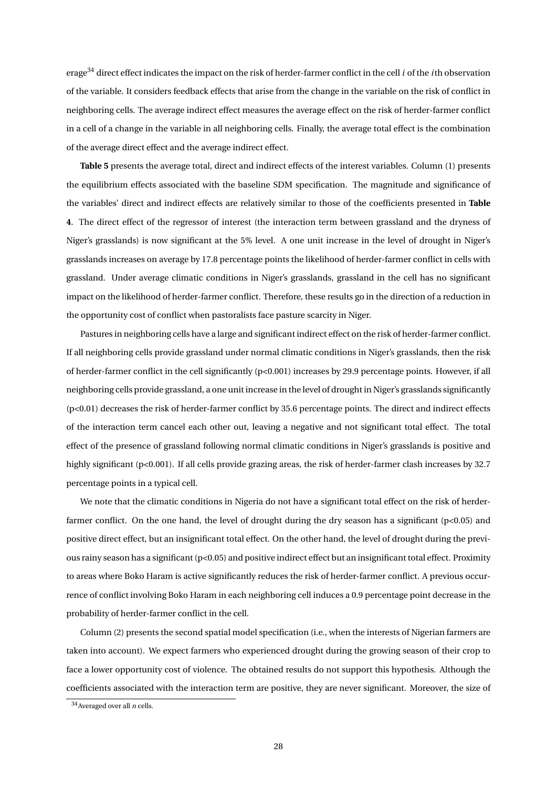erage<sup>34</sup> direct effect indicates the impact on the risk of herder-farmer conflict in the cell *i* of the *i*th observation of the variable. It considers feedback effects that arise from the change in the variable on the risk of conflict in neighboring cells. The average indirect effect measures the average effect on the risk of herder-farmer conflict in a cell of a change in the variable in all neighboring cells. Finally, the average total effect is the combination of the average direct effect and the average indirect effect.

**Table 5** presents the average total, direct and indirect effects of the interest variables. Column (1) presents the equilibrium effects associated with the baseline SDM specification. The magnitude and significance of the variables' direct and indirect effects are relatively similar to those of the coefficients presented in **Table 4**. The direct effect of the regressor of interest (the interaction term between grassland and the dryness of Niger's grasslands) is now significant at the 5% level. A one unit increase in the level of drought in Niger's grasslands increases on average by 17.8 percentage points the likelihood of herder-farmer conflict in cells with grassland. Under average climatic conditions in Niger's grasslands, grassland in the cell has no significant impact on the likelihood of herder-farmer conflict. Therefore, these results go in the direction of a reduction in the opportunity cost of conflict when pastoralists face pasture scarcity in Niger.

Pastures in neighboring cells have a large and significant indirect effect on the risk of herder-farmer conflict. If all neighboring cells provide grassland under normal climatic conditions in Niger's grasslands, then the risk of herder-farmer conflict in the cell significantly (p<0.001) increases by 29.9 percentage points. However, if all neighboring cells provide grassland, a one unit increase in the level of drought in Niger's grasslands significantly (p<0.01) decreases the risk of herder-farmer conflict by 35.6 percentage points. The direct and indirect effects of the interaction term cancel each other out, leaving a negative and not significant total effect. The total effect of the presence of grassland following normal climatic conditions in Niger's grasslands is positive and highly significant (p<0.001). If all cells provide grazing areas, the risk of herder-farmer clash increases by 32.7 percentage points in a typical cell.

We note that the climatic conditions in Nigeria do not have a significant total effect on the risk of herderfarmer conflict. On the one hand, the level of drought during the dry season has a significant (p<0.05) and positive direct effect, but an insignificant total effect. On the other hand, the level of drought during the previous rainy season has a significant (p<0.05) and positive indirect effect but an insignificant total effect. Proximity to areas where Boko Haram is active significantly reduces the risk of herder-farmer conflict. A previous occurrence of conflict involving Boko Haram in each neighboring cell induces a 0.9 percentage point decrease in the probability of herder-farmer conflict in the cell.

Column (2) presents the second spatial model specification (i.e., when the interests of Nigerian farmers are taken into account). We expect farmers who experienced drought during the growing season of their crop to face a lower opportunity cost of violence. The obtained results do not support this hypothesis. Although the coefficients associated with the interaction term are positive, they are never significant. Moreover, the size of

<sup>34</sup>Averaged over all *n* cells.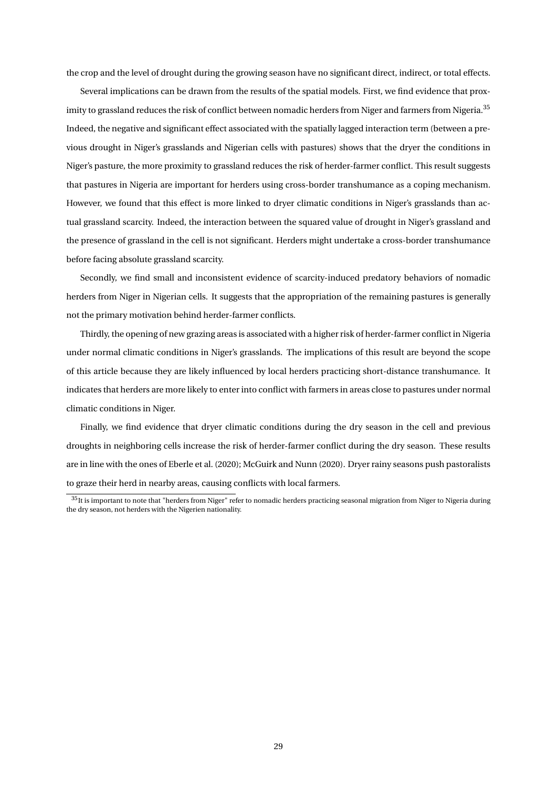the crop and the level of drought during the growing season have no significant direct, indirect, or total effects.

Several implications can be drawn from the results of the spatial models. First, we find evidence that proximity to grassland reduces the risk of conflict between nomadic herders from Niger and farmers from Nigeria.<sup>35</sup> Indeed, the negative and significant effect associated with the spatially lagged interaction term (between a previous drought in Niger's grasslands and Nigerian cells with pastures) shows that the dryer the conditions in Niger's pasture, the more proximity to grassland reduces the risk of herder-farmer conflict. This result suggests that pastures in Nigeria are important for herders using cross-border transhumance as a coping mechanism. However, we found that this effect is more linked to dryer climatic conditions in Niger's grasslands than actual grassland scarcity. Indeed, the interaction between the squared value of drought in Niger's grassland and the presence of grassland in the cell is not significant. Herders might undertake a cross-border transhumance before facing absolute grassland scarcity.

Secondly, we find small and inconsistent evidence of scarcity-induced predatory behaviors of nomadic herders from Niger in Nigerian cells. It suggests that the appropriation of the remaining pastures is generally not the primary motivation behind herder-farmer conflicts.

Thirdly, the opening of new grazing areas is associated with a higher risk of herder-farmer conflict in Nigeria under normal climatic conditions in Niger's grasslands. The implications of this result are beyond the scope of this article because they are likely influenced by local herders practicing short-distance transhumance. It indicates that herders are more likely to enter into conflict with farmers in areas close to pastures under normal climatic conditions in Niger.

Finally, we find evidence that dryer climatic conditions during the dry season in the cell and previous droughts in neighboring cells increase the risk of herder-farmer conflict during the dry season. These results are in line with the ones of Eberle et al. (2020); McGuirk and Nunn (2020). Dryer rainy seasons push pastoralists to graze their herd in nearby areas, causing conflicts with local farmers.

 $35$ It is important to note that "herders from Niger" refer to nomadic herders practicing seasonal migration from Niger to Nigeria during the dry season, not herders with the Nigerien nationality.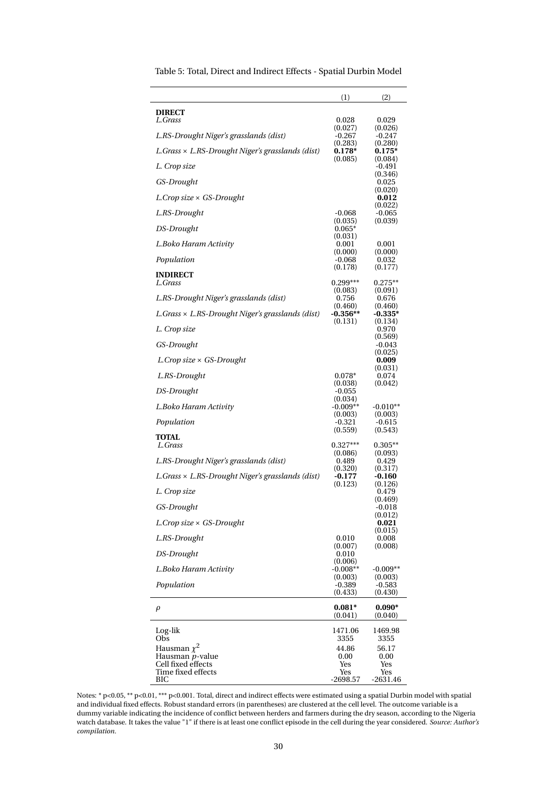|                                                         | (1)                            | (2)                            |
|---------------------------------------------------------|--------------------------------|--------------------------------|
| <b>DIRECT</b><br>L.Grass                                | 0.028                          | 0.029                          |
| L.RS-Drought Niger's grasslands (dist)                  | (0.027)<br>$-0.267$            | (0.026)<br>$-0.247$            |
| L.Grass × L.RS-Drought Niger's grasslands (dist)        | (0.283)<br>$0.178*$            | (0.280)<br>$0.175*$            |
| L. Crop size                                            | (0.085)                        | (0.084)<br>-0.491              |
| GS-Drought                                              |                                | (0.346)<br>0.025               |
| L.Crop size $\times$ GS-Drought                         |                                | (0.020)<br>0.012               |
| L.RS-Drought                                            | $-0.068$                       | (0.022)<br>$-0.065$            |
| DS-Drought                                              | (0.035)<br>$0.065*$            | (0.039)                        |
| L.Boko Haram Activity                                   | (0.031)<br>0.001               | 0.001                          |
| Population                                              | (0.000)<br>-0.068              | (0.000)<br>0.032               |
| <b>INDIRECT</b><br>L.Grass                              | (0.178)<br>$0.299***$          | (0.177)<br>$0.275**$           |
| L.RS-Drought Niger's grasslands (dist)                  | (0.083)<br>0.756               | (0.091)<br>0.676               |
| $L.Grass \times L.RS-Drought Niger's grasslands (dist)$ | (0.460)<br>$-0.356**$          | (0.460)<br>$-0.335*$           |
| L. Crop size                                            | (0.131)                        | (0.134)<br>0.970               |
| GS-Drought                                              |                                | (0.569)<br>$-0.043$<br>(0.025) |
| L.Crop size $\times$ GS-Drought                         |                                | 0.009                          |
| L.RS-Drought                                            | $0.078*$                       | (0.031)<br>0.074<br>(0.042)    |
| DS-Drought                                              | (0.038)<br>$-0.055$<br>(0.034) |                                |
| L.Boko Haram Activity                                   | $-0.009**$<br>(0.003)          | $-0.010**$<br>(0.003)          |
| Population                                              | $-0.321$<br>(0.559)            | $-0.615$<br>(0.543)            |
| <b>TOTAL</b><br>L.Grass                                 | $0.327***$                     | $0.305**$                      |
| L.RS-Drought Niger's grasslands (dist)                  | (0.086)<br>0.489               | (0.093)<br>0.429               |
| L.Grass × L.RS-Drought Niger's grasslands (dist)        | (0.320)<br>$-0.177$            | (0.317)<br>$-0.160$            |
| L. Crop size                                            | (0.123)                        | (0.126)<br>0.479               |
| GS-Drought                                              |                                | (0.469)<br>$-0.018$            |
| L.Crop size $\times$ GS-Drought                         |                                | (0.012)<br>0.021<br>(0.015)    |
| L.RS-Drought                                            | 0.010<br>(0.007)               | 0.008<br>(0.008)               |
| DS-Drought                                              | 0.010<br>(0.006)               |                                |
| L.Boko Haram Activity                                   | $-0.008**$<br>(0.003)          | $-0.009**$<br>(0.003)          |
| Population                                              | $-0.389$<br>(0.433)            | $-0.583$<br>(0.430)            |
| ρ                                                       | $0.081*$<br>(0.041)            | $0.090*$<br>(0.040)            |
| Log-lik                                                 | 1471.06                        | 1469.98                        |
| Obs<br>Hausman $\chi^2$                                 | 3355<br>44.86                  | 3355<br>56.17                  |
| Hausman p-value<br>Cell fixed effects                   | 0.00<br>Yes                    | 0.00<br>Yes                    |
| Time fixed effects<br>BІC                               | Yes<br>$-2698.57$              | Yes<br>-2631.46                |

Table 5: Total, Direct and Indirect Effects - Spatial Durbin Model

Notes: \* p<0.05, \*\* p<0.01, \*\*\* p<0.001. Total, direct and indirect effects were estimated using a spatial Durbin model with spatial and individual fixed effects. Robust standard errors (in parentheses) are clustered at the cell level. The outcome variable is a dummy variable indicating the incidence of conflict between herders and farmers during the dry season, according to the Nigeria watch database. It takes the value "1" if there is at least one conflict episode in the cell during the year considered. *Source: Author's compilation.*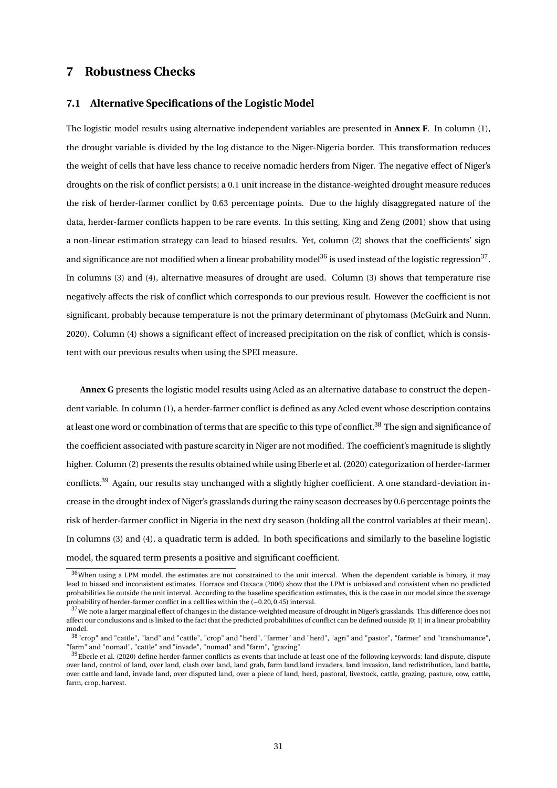#### **7 Robustness Checks**

#### **7.1 Alternative Specifications of the Logistic Model**

The logistic model results using alternative independent variables are presented in **Annex F**. In column (1), the drought variable is divided by the log distance to the Niger-Nigeria border. This transformation reduces the weight of cells that have less chance to receive nomadic herders from Niger. The negative effect of Niger's droughts on the risk of conflict persists; a 0.1 unit increase in the distance-weighted drought measure reduces the risk of herder-farmer conflict by 0.63 percentage points. Due to the highly disaggregated nature of the data, herder-farmer conflicts happen to be rare events. In this setting, King and Zeng (2001) show that using a non-linear estimation strategy can lead to biased results. Yet, column (2) shows that the coefficients' sign and significance are not modified when a linear probability model $36$  is used instead of the logistic regression $37$ . In columns (3) and (4), alternative measures of drought are used. Column (3) shows that temperature rise negatively affects the risk of conflict which corresponds to our previous result. However the coefficient is not significant, probably because temperature is not the primary determinant of phytomass (McGuirk and Nunn, 2020). Column (4) shows a significant effect of increased precipitation on the risk of conflict, which is consistent with our previous results when using the SPEI measure.

**Annex G** presents the logistic model results using Acled as an alternative database to construct the dependent variable. In column (1), a herder-farmer conflict is defined as any Acled event whose description contains at least one word or combination of terms that are specific to this type of conflict.<sup>38</sup> The sign and significance of the coefficient associated with pasture scarcity in Niger are not modified. The coefficient's magnitude is slightly higher. Column (2) presents the results obtained while using Eberle et al. (2020) categorization of herder-farmer conflicts.<sup>39</sup> Again, our results stay unchanged with a slightly higher coefficient. A one standard-deviation increase in the drought index of Niger's grasslands during the rainy season decreases by 0.6 percentage points the risk of herder-farmer conflict in Nigeria in the next dry season (holding all the control variables at their mean). In columns (3) and (4), a quadratic term is added. In both specifications and similarly to the baseline logistic model, the squared term presents a positive and significant coefficient.

 $36$ When using a LPM model, the estimates are not constrained to the unit interval. When the dependent variable is binary, it may lead to biased and inconsistent estimates. Horrace and Oaxaca (2006) show that the LPM is unbiased and consistent when no predicted probabilities lie outside the unit interval. According to the baseline specification estimates, this is the case in our model since the average probability of herder-farmer conflict in a cell lies within the (−0.20, 0.45) interval.

<sup>&</sup>lt;sup>37</sup>We note a larger marginal effect of changes in the distance-weighted measure of drought in Niger's grasslands. This difference does not affect our conclusions and is linked to the fact that the predicted probabilities of conflict can be defined outside [0; 1] in a linear probability model.

<sup>38</sup>"crop" and "cattle", "land" and "cattle", "crop" and "herd", "farmer" and "herd", "agri" and "pastor", "farmer" and "transhumance", "farm" and "nomad", "cattle" and "invade", "nomad" and "farm", "grazing".

<sup>&</sup>lt;sup>39</sup>Eberle et al. (2020) define herder-farmer conflicts as events that include at least one of the following keywords: land dispute, dispute over land, control of land, over land, clash over land, land grab, farm land,land invaders, land invasion, land redistribution, land battle, over cattle and land, invade land, over disputed land, over a piece of land, herd, pastoral, livestock, cattle, grazing, pasture, cow, cattle, farm, crop, harvest.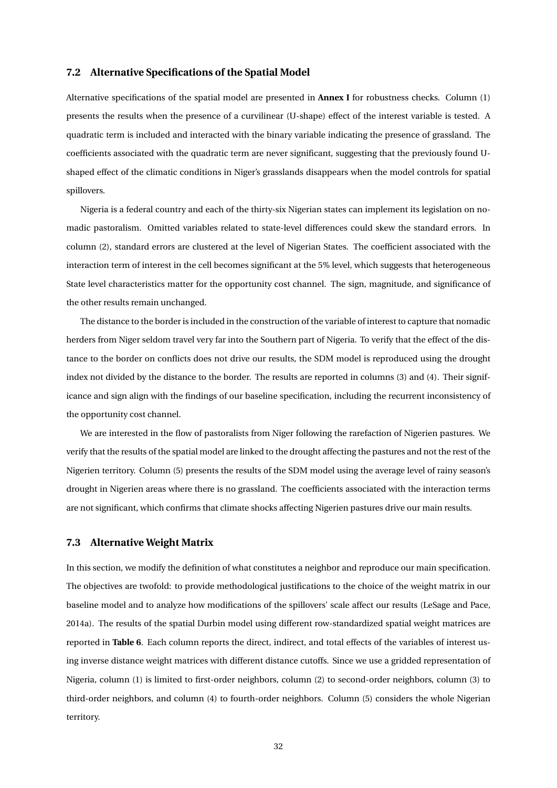#### **7.2 Alternative Specifications of the Spatial Model**

Alternative specifications of the spatial model are presented in **Annex I** for robustness checks. Column (1) presents the results when the presence of a curvilinear (U-shape) effect of the interest variable is tested. A quadratic term is included and interacted with the binary variable indicating the presence of grassland. The coefficients associated with the quadratic term are never significant, suggesting that the previously found Ushaped effect of the climatic conditions in Niger's grasslands disappears when the model controls for spatial spillovers.

Nigeria is a federal country and each of the thirty-six Nigerian states can implement its legislation on nomadic pastoralism. Omitted variables related to state-level differences could skew the standard errors. In column (2), standard errors are clustered at the level of Nigerian States. The coefficient associated with the interaction term of interest in the cell becomes significant at the 5% level, which suggests that heterogeneous State level characteristics matter for the opportunity cost channel. The sign, magnitude, and significance of the other results remain unchanged.

The distance to the border is included in the construction of the variable of interest to capture that nomadic herders from Niger seldom travel very far into the Southern part of Nigeria. To verify that the effect of the distance to the border on conflicts does not drive our results, the SDM model is reproduced using the drought index not divided by the distance to the border. The results are reported in columns (3) and (4). Their significance and sign align with the findings of our baseline specification, including the recurrent inconsistency of the opportunity cost channel.

We are interested in the flow of pastoralists from Niger following the rarefaction of Nigerien pastures. We verify that the results of the spatial model are linked to the drought affecting the pastures and not the rest of the Nigerien territory. Column (5) presents the results of the SDM model using the average level of rainy season's drought in Nigerien areas where there is no grassland. The coefficients associated with the interaction terms are not significant, which confirms that climate shocks affecting Nigerien pastures drive our main results.

#### **7.3 Alternative Weight Matrix**

In this section, we modify the definition of what constitutes a neighbor and reproduce our main specification. The objectives are twofold: to provide methodological justifications to the choice of the weight matrix in our baseline model and to analyze how modifications of the spillovers' scale affect our results (LeSage and Pace, 2014a). The results of the spatial Durbin model using different row-standardized spatial weight matrices are reported in **Table 6**. Each column reports the direct, indirect, and total effects of the variables of interest using inverse distance weight matrices with different distance cutoffs. Since we use a gridded representation of Nigeria, column (1) is limited to first-order neighbors, column (2) to second-order neighbors, column (3) to third-order neighbors, and column (4) to fourth-order neighbors. Column (5) considers the whole Nigerian territory.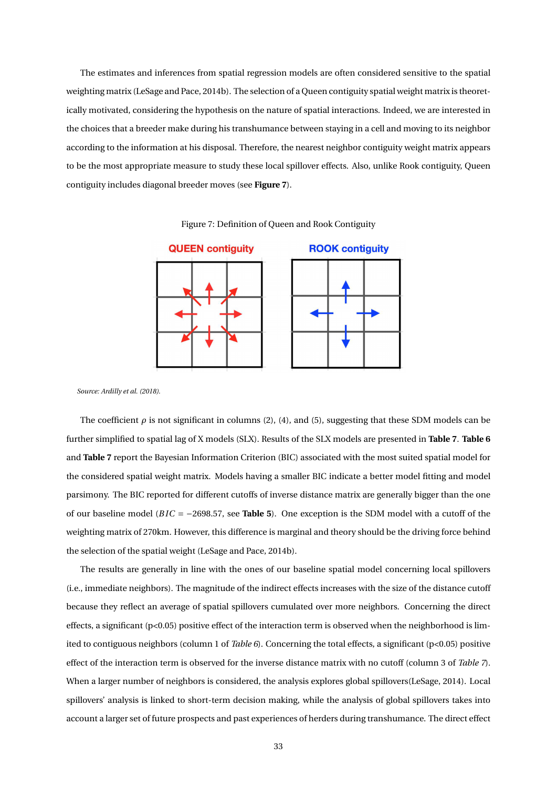The estimates and inferences from spatial regression models are often considered sensitive to the spatial weighting matrix (LeSage and Pace, 2014b). The selection of a Queen contiguity spatial weight matrix is theoretically motivated, considering the hypothesis on the nature of spatial interactions. Indeed, we are interested in the choices that a breeder make during his transhumance between staying in a cell and moving to its neighbor according to the information at his disposal. Therefore, the nearest neighbor contiguity weight matrix appears to be the most appropriate measure to study these local spillover effects. Also, unlike Rook contiguity, Queen contiguity includes diagonal breeder moves (see **Figure 7**).



Figure 7: Definition of Queen and Rook Contiguity

*Source: Ardilly et al. (2018).*

The coefficient  $\rho$  is not significant in columns (2), (4), and (5), suggesting that these SDM models can be further simplified to spatial lag of X models (SLX). Results of the SLX models are presented in **Table 7**. **Table 6** and **Table 7** report the Bayesian Information Criterion (BIC) associated with the most suited spatial model for the considered spatial weight matrix. Models having a smaller BIC indicate a better model fitting and model parsimony. The BIC reported for different cutoffs of inverse distance matrix are generally bigger than the one of our baseline model (*B IC* = −2698.57, see **Table 5**). One exception is the SDM model with a cutoff of the weighting matrix of 270km. However, this difference is marginal and theory should be the driving force behind the selection of the spatial weight (LeSage and Pace, 2014b).

The results are generally in line with the ones of our baseline spatial model concerning local spillovers (i.e., immediate neighbors). The magnitude of the indirect effects increases with the size of the distance cutoff because they reflect an average of spatial spillovers cumulated over more neighbors. Concerning the direct effects, a significant (p<0.05) positive effect of the interaction term is observed when the neighborhood is limited to contiguous neighbors (column 1 of *Table 6*). Concerning the total effects, a significant (p<0.05) positive effect of the interaction term is observed for the inverse distance matrix with no cutoff (column 3 of *Table 7*). When a larger number of neighbors is considered, the analysis explores global spillovers(LeSage, 2014). Local spillovers' analysis is linked to short-term decision making, while the analysis of global spillovers takes into account a larger set of future prospects and past experiences of herders during transhumance. The direct effect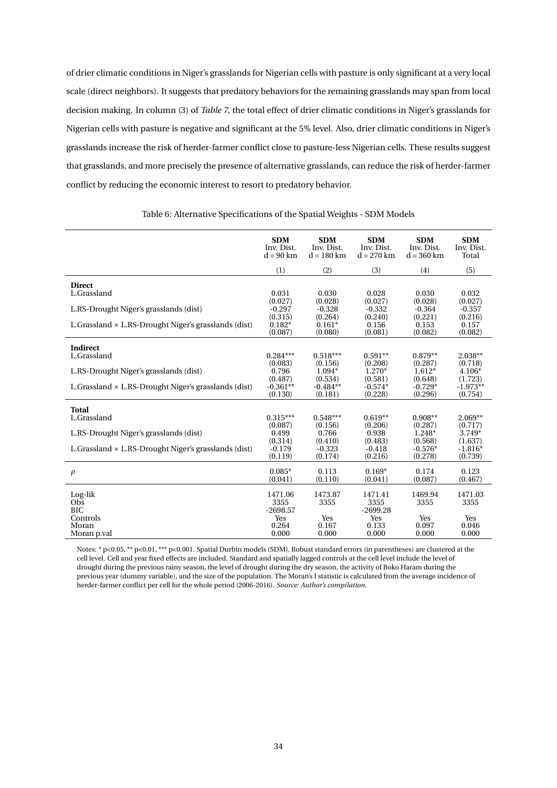of drier climatic conditions in Niger's grasslands for Nigerian cells with pasture is only significant at a very local scale (direct neighbors). It suggests that predatory behaviors for the remaining grasslands may span from local decision making. In column (3) of *Table 7*, the total effect of drier climatic conditions in Niger's grasslands for Nigerian cells with pasture is negative and significant at the 5% level. Also, drier climatic conditions in Niger's grasslands increase the risk of herder-farmer conflict close to pasture-less Nigerian cells. These results suggest that grasslands, and more precisely the presence of alternative grasslands, can reduce the risk of herder-farmer conflict by reducing the economic interest to resort to predatory behavior.

|                                                              | <b>SDM</b>                    | <b>SDM</b>      | <b>SDM</b>                    | <b>SDM</b>      | <b>SDM</b>      |
|--------------------------------------------------------------|-------------------------------|-----------------|-------------------------------|-----------------|-----------------|
|                                                              | Inv. Dist.                    | Inv. Dist.      | Inv. Dist.                    | Inv. Dist.      | Inv. Dist.      |
|                                                              | $d = 90$ km                   | $d = 180$ km    | $d = 270$ km                  | $d = 360$ km    | Total           |
|                                                              | (1)                           | (2)             | (3)                           | (4)             | (5)             |
| <b>Direct</b><br>L.Grassland                                 | 0.031                         | 0.030           | 0.028                         | 0.030           | 0.032           |
| L.RS-Drought Niger's grasslands (dist)                       | (0.027)                       | (0.028)         | (0.027)                       | (0.028)         | (0.027)         |
|                                                              | $-0.297$                      | $-0.328$        | $-0.332$                      | $-0.364$        | $-0.357$        |
|                                                              | (0.315)                       | (0.264)         | (0.240)                       | (0.221)         | (0.216)         |
| L. Grassland $\times$ L.RS-Drought Niger's grasslands (dist) | $0.182*$                      | $0.161*$        | 0.156                         | 0.153           | 0.157           |
|                                                              | (0.087)                       | (0.080)         | (0.081)                       | (0.082)         | (0.082)         |
| Indirect                                                     |                               |                 |                               |                 |                 |
| L.Grassland                                                  | $0.284***$                    | $0.518***$      | $0.591**$                     | $0.879**$       | $2.038**$       |
|                                                              | (0.083)                       | (0.156)         | (0.208)                       | (0.287)         | (0.718)         |
| L.RS-Drought Niger's grasslands (dist)                       | 0.796                         | $1.094*$        | $1.270*$                      | $1.612*$        | $4.106*$        |
|                                                              | (0.487)                       | (0.534)         | (0.581)                       | (0.648)         | (1.723)         |
| L.Grassland $\times$ L.RS-Drought Niger's grasslands (dist)  | $-0.361**$                    | $-0.484**$      | $-0.574*$                     | $-0.729*$       | $-1.973**$      |
|                                                              | (0.130)                       | (0.181)         | (0.228)                       | (0.296)         | (0.754)         |
| Total                                                        |                               |                 |                               |                 |                 |
| L.Grassland                                                  | $0.315***$                    | $0.548***$      | $0.619**$                     | $0.908**$       | $2.069**$       |
|                                                              | (0.087)                       | (0.156)         | (0.206)                       | (0.287)         | (0.717)         |
| L.RS-Drought Niger's grasslands (dist)                       | 0.499                         | 0.766           | 0.938                         | 1.248*          | $3.749*$        |
|                                                              | (0.314)                       | (0.410)         | (0.483)                       | (0.568)         | (1.637)         |
| L.Grassland $\times$ L.RS-Drought Niger's grasslands (dist)  | $-0.179$                      | $-0.323$        | $-0.418$                      | $-0.576*$       | $-1.816*$       |
|                                                              | (0.119)                       | (0.174)         | (0.216)                       | (0.278)         | (0.739)         |
| $\rho$                                                       | $0.085*$                      | 0.113           | $0.169*$                      | 0.174           | 0.123           |
|                                                              | (0.041)                       | (0.110)         | (0.041)                       | (0.087)         | (0.467)         |
| Log-lik<br>Obs<br><b>BIC</b>                                 | 1471.06<br>3355<br>$-2698.57$ | 1473.87<br>3355 | 1471.41<br>3355<br>$-2699.28$ | 1469.94<br>3355 | 1471.03<br>3355 |
| Controls                                                     | Yes                           | Yes             | Yes                           | Yes             | Yes             |
| Moran                                                        | 0.264                         | 0.167           | 0.133                         | 0.097           | 0.046           |
| Moran p.val                                                  | 0.000                         | 0.000           | 0.000                         | 0.000           | 0.000           |

Table 6: Alternative Specifications of the Spatial Weights - SDM Models

Notes: \* p<0.05, \*\* p<0.01, \*\*\* p<0.001. Spatial Durbin models (SDM). Robust standard errors (in parentheses) are clustered at the cell level. Cell and year fixed effects are included. Standard and spatially lagged controls at the cell level include the level of drought during the previous rainy season, the level of drought during the dry season, the activity of Boko Haram during the previous year (dummy variable), and the size of the population. The Moran's I statistic is calculated from the average incidence of herder-farmer conflict per cell for the whole period (2006-2016). *Source: Author's compilation.*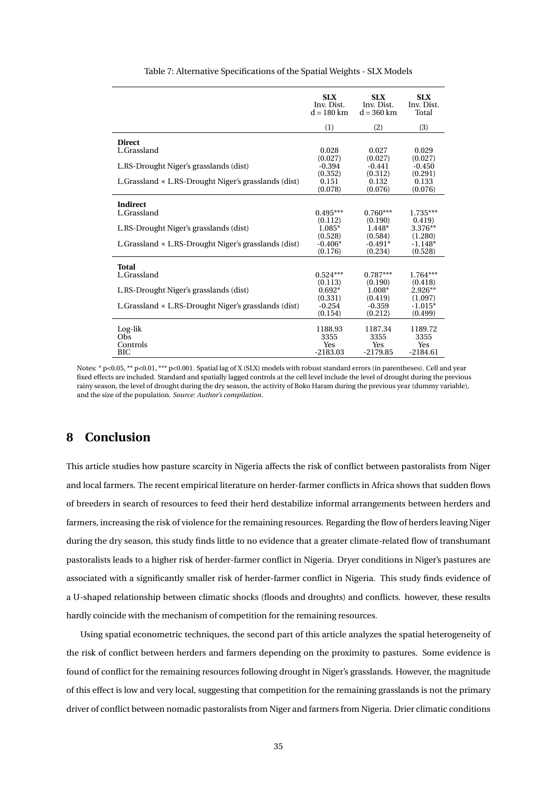|                                                              | <b>SLX</b><br>Inv. Dist.<br>$d = 180$ km | <b>SLX</b><br>Inv. Dist.<br>$d = 360$ km | <b>SLX</b><br>Inv. Dist.<br>Total |
|--------------------------------------------------------------|------------------------------------------|------------------------------------------|-----------------------------------|
|                                                              | (1)                                      | (2)                                      | (3)                               |
| <b>Direct</b><br>L.Grassland                                 | 0.028                                    | 0.027                                    | 0.029                             |
| L.RS-Drought Niger's grasslands (dist)                       | (0.027)<br>$-0.394$                      | (0.027)<br>$-0.441$                      | (0.027)<br>$-0.450$               |
| L. Grassland $\times$ L.RS-Drought Niger's grasslands (dist) | (0.352)<br>0.151<br>(0.078)              | (0.312)<br>0.132<br>(0.076)              | (0.291)<br>0.133<br>(0.076)       |
| <b>Indirect</b>                                              |                                          |                                          |                                   |
| L.Grassland                                                  | $0.495***$                               | $0.760***$                               | $1.735***$                        |
| L.RS-Drought Niger's grasslands (dist)                       | (0.112)<br>1.085*                        | (0.190)<br>$1.448*$                      | 0.419<br>3.376**                  |
| L. Grassland $\times$ L.RS-Drought Niger's grasslands (dist) | (0.528)<br>$-0.406*$<br>(0.176)          | (0.584)<br>$-0.491*$<br>(0.234)          | (1.280)<br>$-1.148*$<br>(0.528)   |
| Total                                                        |                                          |                                          |                                   |
| L.Grassland                                                  | $0.524***$<br>(0.113)                    | $0.787***$<br>(0.190)                    | 1.764***<br>(0.418)               |
| L.RS-Drought Niger's grasslands (dist)                       | $0.692*$<br>(0.331)                      | $1.008*$<br>(0.419)                      | $2.926**$                         |
| L.Grassland × L.RS-Drought Niger's grasslands (dist)         | $-0.254$<br>(0.154)                      | $-0.359$<br>(0.212)                      | (1.097)<br>$-1.015*$<br>(0.499)   |
| Log-lik<br>Obs<br>Controls                                   | 1188.93<br>3355<br><b>Yes</b>            | 1187.34<br>3355<br>Yes                   | 1189.72<br>3355<br>Yes            |
| BIC                                                          | $-2183.03$                               | $-2179.85$                               | $-2184.61$                        |

Table 7: Alternative Specifications of the Spatial Weights - SLX Models

Notes: \* p<0.05, \*\* p<0.01, \*\*\* p<0.001. Spatial lag of X (SLX) models with robust standard errors (in parentheses). Cell and year fixed effects are included. Standard and spatially lagged controls at the cell level include the level of drought during the previous rainy season, the level of drought during the dry season, the activity of Boko Haram during the previous year (dummy variable), and the size of the population. *Source: Author's compilation.*

#### **8 Conclusion**

This article studies how pasture scarcity in Nigeria affects the risk of conflict between pastoralists from Niger and local farmers. The recent empirical literature on herder-farmer conflicts in Africa shows that sudden flows of breeders in search of resources to feed their herd destabilize informal arrangements between herders and farmers, increasing the risk of violence for the remaining resources. Regarding the flow of herders leaving Niger during the dry season, this study finds little to no evidence that a greater climate-related flow of transhumant pastoralists leads to a higher risk of herder-farmer conflict in Nigeria. Dryer conditions in Niger's pastures are associated with a significantly smaller risk of herder-farmer conflict in Nigeria. This study finds evidence of a U-shaped relationship between climatic shocks (floods and droughts) and conflicts. however, these results hardly coincide with the mechanism of competition for the remaining resources.

Using spatial econometric techniques, the second part of this article analyzes the spatial heterogeneity of the risk of conflict between herders and farmers depending on the proximity to pastures. Some evidence is found of conflict for the remaining resources following drought in Niger's grasslands. However, the magnitude of this effect is low and very local, suggesting that competition for the remaining grasslands is not the primary driver of conflict between nomadic pastoralists from Niger and farmers from Nigeria. Drier climatic conditions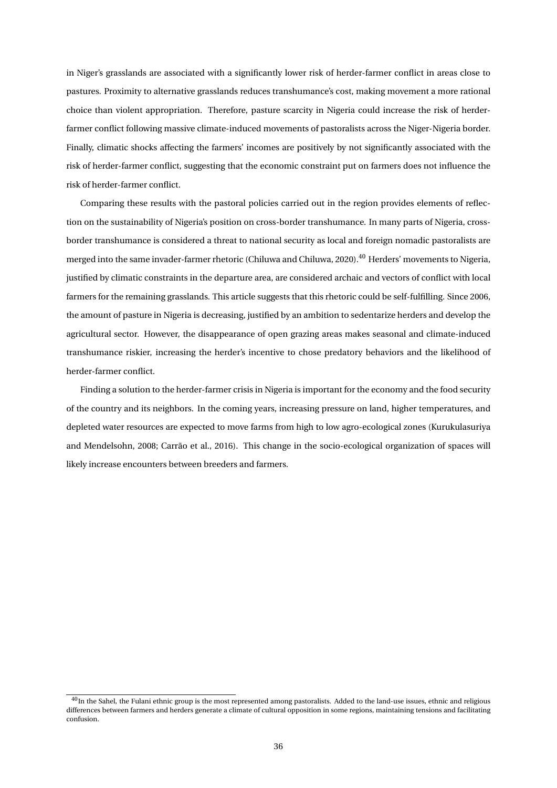in Niger's grasslands are associated with a significantly lower risk of herder-farmer conflict in areas close to pastures. Proximity to alternative grasslands reduces transhumance's cost, making movement a more rational choice than violent appropriation. Therefore, pasture scarcity in Nigeria could increase the risk of herderfarmer conflict following massive climate-induced movements of pastoralists across the Niger-Nigeria border. Finally, climatic shocks affecting the farmers' incomes are positively by not significantly associated with the risk of herder-farmer conflict, suggesting that the economic constraint put on farmers does not influence the risk of herder-farmer conflict.

Comparing these results with the pastoral policies carried out in the region provides elements of reflection on the sustainability of Nigeria's position on cross-border transhumance. In many parts of Nigeria, crossborder transhumance is considered a threat to national security as local and foreign nomadic pastoralists are merged into the same invader-farmer rhetoric (Chiluwa and Chiluwa, 2020).<sup>40</sup> Herders' movements to Nigeria, justified by climatic constraints in the departure area, are considered archaic and vectors of conflict with local farmers for the remaining grasslands. This article suggests that this rhetoric could be self-fulfilling. Since 2006, the amount of pasture in Nigeria is decreasing, justified by an ambition to sedentarize herders and develop the agricultural sector. However, the disappearance of open grazing areas makes seasonal and climate-induced transhumance riskier, increasing the herder's incentive to chose predatory behaviors and the likelihood of herder-farmer conflict.

Finding a solution to the herder-farmer crisis in Nigeria is important for the economy and the food security of the country and its neighbors. In the coming years, increasing pressure on land, higher temperatures, and depleted water resources are expected to move farms from high to low agro-ecological zones (Kurukulasuriya and Mendelsohn, 2008; Carrão et al., 2016). This change in the socio-ecological organization of spaces will likely increase encounters between breeders and farmers.

<sup>&</sup>lt;sup>40</sup>In the Sahel, the Fulani ethnic group is the most represented among pastoralists. Added to the land-use issues, ethnic and religious differences between farmers and herders generate a climate of cultural opposition in some regions, maintaining tensions and facilitating confusion.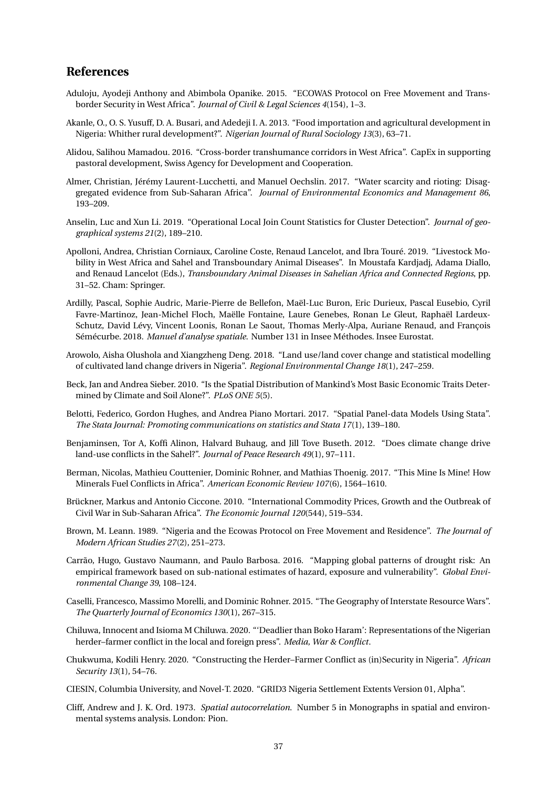#### **References**

- Aduloju, Ayodeji Anthony and Abimbola Opanike. 2015. "ECOWAS Protocol on Free Movement and Transborder Security in West Africa". *Journal of Civil & Legal Sciences 4*(154), 1–3.
- Akanle, O., O. S. Yusuff, D. A. Busari, and Adedeji I. A. 2013. "Food importation and agricultural development in Nigeria: Whither rural development?". *Nigerian Journal of Rural Sociology 13*(3), 63–71.
- Alidou, Salihou Mamadou. 2016. "Cross-border transhumance corridors in West Africa". CapEx in supporting pastoral development, Swiss Agency for Development and Cooperation.
- Almer, Christian, Jérémy Laurent-Lucchetti, and Manuel Oechslin. 2017. "Water scarcity and rioting: Disaggregated evidence from Sub-Saharan Africa". *Journal of Environmental Economics and Management 86*, 193–209.
- Anselin, Luc and Xun Li. 2019. "Operational Local Join Count Statistics for Cluster Detection". *Journal of geographical systems 21*(2), 189–210.
- Apolloni, Andrea, Christian Corniaux, Caroline Coste, Renaud Lancelot, and Ibra Touré. 2019. "Livestock Mobility in West Africa and Sahel and Transboundary Animal Diseases". In Moustafa Kardjadj, Adama Diallo, and Renaud Lancelot (Eds.), *Transboundary Animal Diseases in Sahelian Africa and Connected Regions*, pp. 31–52. Cham: Springer.
- Ardilly, Pascal, Sophie Audric, Marie-Pierre de Bellefon, Maël-Luc Buron, Eric Durieux, Pascal Eusebio, Cyril Favre-Martinoz, Jean-Michel Floch, Maëlle Fontaine, Laure Genebes, Ronan Le Gleut, Raphaël Lardeux-Schutz, David Lévy, Vincent Loonis, Ronan Le Saout, Thomas Merly-Alpa, Auriane Renaud, and François Sémécurbe. 2018. *Manuel d'analyse spatiale*. Number 131 in Insee Méthodes. Insee Eurostat.
- Arowolo, Aisha Olushola and Xiangzheng Deng. 2018. "Land use/land cover change and statistical modelling of cultivated land change drivers in Nigeria". *Regional Environmental Change 18*(1), 247–259.
- Beck, Jan and Andrea Sieber. 2010. "Is the Spatial Distribution of Mankind's Most Basic Economic Traits Determined by Climate and Soil Alone?". *PLoS ONE 5*(5).
- Belotti, Federico, Gordon Hughes, and Andrea Piano Mortari. 2017. "Spatial Panel-data Models Using Stata". *The Stata Journal: Promoting communications on statistics and Stata 17*(1), 139–180.
- Benjaminsen, Tor A, Koffi Alinon, Halvard Buhaug, and Jill Tove Buseth. 2012. "Does climate change drive land-use conflicts in the Sahel?". *Journal of Peace Research 49*(1), 97–111.
- Berman, Nicolas, Mathieu Couttenier, Dominic Rohner, and Mathias Thoenig. 2017. "This Mine Is Mine! How Minerals Fuel Conflicts in Africa". *American Economic Review 107*(6), 1564–1610.
- Brückner, Markus and Antonio Ciccone. 2010. "International Commodity Prices, Growth and the Outbreak of Civil War in Sub-Saharan Africa". *The Economic Journal 120*(544), 519–534.
- Brown, M. Leann. 1989. "Nigeria and the Ecowas Protocol on Free Movement and Residence". *The Journal of Modern African Studies 27*(2), 251–273.
- Carrão, Hugo, Gustavo Naumann, and Paulo Barbosa. 2016. "Mapping global patterns of drought risk: An empirical framework based on sub-national estimates of hazard, exposure and vulnerability". *Global Environmental Change 39*, 108–124.
- Caselli, Francesco, Massimo Morelli, and Dominic Rohner. 2015. "The Geography of Interstate Resource Wars". *The Quarterly Journal of Economics 130*(1), 267–315.
- Chiluwa, Innocent and Isioma M Chiluwa. 2020. "'Deadlier than Boko Haram': Representations of the Nigerian herder–farmer conflict in the local and foreign press". *Media, War & Conflict*.
- Chukwuma, Kodili Henry. 2020. "Constructing the Herder–Farmer Conflict as (in)Security in Nigeria". *African Security 13*(1), 54–76.
- CIESIN, Columbia University, and Novel-T. 2020. "GRID3 Nigeria Settlement Extents Version 01, Alpha".
- Cliff, Andrew and J. K. Ord. 1973. *Spatial autocorrelation*. Number 5 in Monographs in spatial and environmental systems analysis. London: Pion.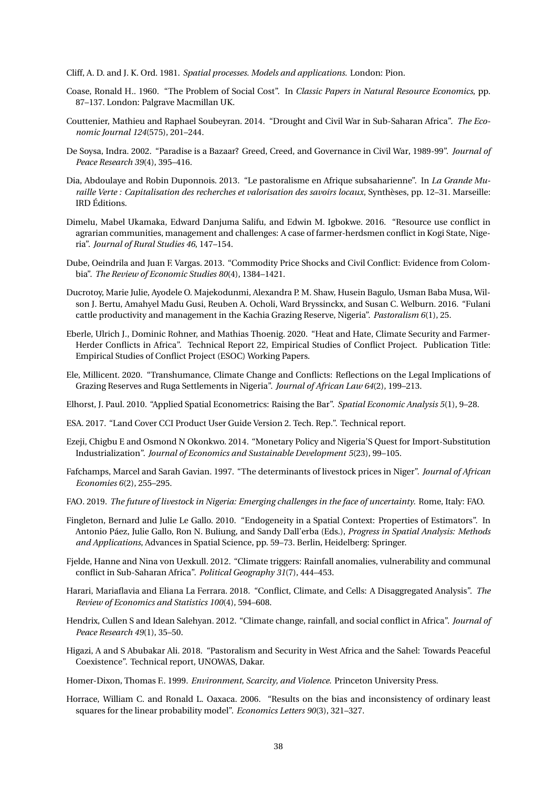Cliff, A. D. and J. K. Ord. 1981. *Spatial processes. Models and applications*. London: Pion.

- Coase, Ronald H.. 1960. "The Problem of Social Cost". In *Classic Papers in Natural Resource Economics*, pp. 87–137. London: Palgrave Macmillan UK.
- Couttenier, Mathieu and Raphael Soubeyran. 2014. "Drought and Civil War in Sub-Saharan Africa". *The Economic Journal 124*(575), 201–244.
- De Soysa, Indra. 2002. "Paradise is a Bazaar? Greed, Creed, and Governance in Civil War, 1989-99". *Journal of Peace Research 39*(4), 395–416.
- Dia, Abdoulaye and Robin Duponnois. 2013. "Le pastoralisme en Afrique subsaharienne". In *La Grande Muraille Verte : Capitalisation des recherches et valorisation des savoirs locaux*, Synthèses, pp. 12–31. Marseille: IRD Éditions.
- Dimelu, Mabel Ukamaka, Edward Danjuma Salifu, and Edwin M. Igbokwe. 2016. "Resource use conflict in agrarian communities, management and challenges: A case of farmer-herdsmen conflict in Kogi State, Nigeria". *Journal of Rural Studies 46*, 147–154.
- Dube, Oeindrila and Juan F. Vargas. 2013. "Commodity Price Shocks and Civil Conflict: Evidence from Colombia". *The Review of Economic Studies 80*(4), 1384–1421.
- Ducrotoy, Marie Julie, Ayodele O. Majekodunmi, Alexandra P. M. Shaw, Husein Bagulo, Usman Baba Musa, Wilson J. Bertu, Amahyel Madu Gusi, Reuben A. Ocholi, Ward Bryssinckx, and Susan C. Welburn. 2016. "Fulani cattle productivity and management in the Kachia Grazing Reserve, Nigeria". *Pastoralism 6*(1), 25.
- Eberle, Ulrich J., Dominic Rohner, and Mathias Thoenig. 2020. "Heat and Hate, Climate Security and Farmer-Herder Conflicts in Africa". Technical Report 22, Empirical Studies of Conflict Project. Publication Title: Empirical Studies of Conflict Project (ESOC) Working Papers.
- Ele, Millicent. 2020. "Transhumance, Climate Change and Conflicts: Reflections on the Legal Implications of Grazing Reserves and Ruga Settlements in Nigeria". *Journal of African Law 64*(2), 199–213.
- Elhorst, J. Paul. 2010. "Applied Spatial Econometrics: Raising the Bar". *Spatial Economic Analysis 5*(1), 9–28.
- ESA. 2017. "Land Cover CCI Product User Guide Version 2. Tech. Rep.". Technical report.
- Ezeji, Chigbu E and Osmond N Okonkwo. 2014. "Monetary Policy and Nigeria'S Quest for Import-Substitution Industrialization". *Journal of Economics and Sustainable Development 5*(23), 99–105.
- Fafchamps, Marcel and Sarah Gavian. 1997. "The determinants of livestock prices in Niger". *Journal of African Economies 6*(2), 255–295.
- FAO. 2019. *The future of livestock in Nigeria: Emerging challenges in the face of uncertainty*. Rome, Italy: FAO.
- Fingleton, Bernard and Julie Le Gallo. 2010. "Endogeneity in a Spatial Context: Properties of Estimators". In Antonio Páez, Julie Gallo, Ron N. Buliung, and Sandy Dall'erba (Eds.), *Progress in Spatial Analysis: Methods and Applications*, Advances in Spatial Science, pp. 59–73. Berlin, Heidelberg: Springer.
- Fjelde, Hanne and Nina von Uexkull. 2012. "Climate triggers: Rainfall anomalies, vulnerability and communal conflict in Sub-Saharan Africa". *Political Geography 31*(7), 444–453.
- Harari, Mariaflavia and Eliana La Ferrara. 2018. "Conflict, Climate, and Cells: A Disaggregated Analysis". *The Review of Economics and Statistics 100*(4), 594–608.
- Hendrix, Cullen S and Idean Salehyan. 2012. "Climate change, rainfall, and social conflict in Africa". *Journal of Peace Research 49*(1), 35–50.
- Higazi, A and S Abubakar Ali. 2018. "Pastoralism and Security in West Africa and the Sahel: Towards Peaceful Coexistence". Technical report, UNOWAS, Dakar.
- Homer-Dixon, Thomas F.. 1999. *Environment, Scarcity, and Violence*. Princeton University Press.
- Horrace, William C. and Ronald L. Oaxaca. 2006. "Results on the bias and inconsistency of ordinary least squares for the linear probability model". *Economics Letters 90*(3), 321–327.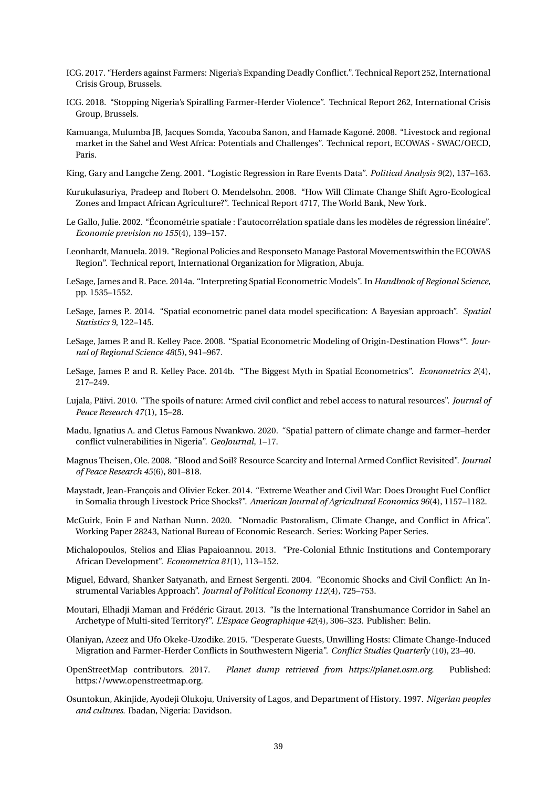- ICG. 2017. "Herders against Farmers: Nigeria's Expanding Deadly Conflict.". Technical Report 252, International Crisis Group, Brussels.
- ICG. 2018. "Stopping Nigeria's Spiralling Farmer-Herder Violence". Technical Report 262, International Crisis Group, Brussels.
- Kamuanga, Mulumba JB, Jacques Somda, Yacouba Sanon, and Hamade Kagoné. 2008. "Livestock and regional market in the Sahel and West Africa: Potentials and Challenges". Technical report, ECOWAS - SWAC/OECD, Paris.
- King, Gary and Langche Zeng. 2001. "Logistic Regression in Rare Events Data". *Political Analysis 9*(2), 137–163.
- Kurukulasuriya, Pradeep and Robert O. Mendelsohn. 2008. "How Will Climate Change Shift Agro-Ecological Zones and Impact African Agriculture?". Technical Report 4717, The World Bank, New York.
- Le Gallo, Julie. 2002. "Économétrie spatiale : l'autocorrélation spatiale dans les modèles de régression linéaire". *Economie prevision no 155*(4), 139–157.
- Leonhardt, Manuela. 2019. "Regional Policies and Responseto Manage Pastoral Movementswithin the ECOWAS Region". Technical report, International Organization for Migration, Abuja.
- LeSage, James and R. Pace. 2014a. "Interpreting Spatial Econometric Models". In *Handbook of Regional Science*, pp. 1535–1552.
- LeSage, James P.. 2014. "Spatial econometric panel data model specification: A Bayesian approach". *Spatial Statistics 9*, 122–145.
- LeSage, James P. and R. Kelley Pace. 2008. "Spatial Econometric Modeling of Origin-Destination Flows\*". *Journal of Regional Science 48*(5), 941–967.
- LeSage, James P. and R. Kelley Pace. 2014b. "The Biggest Myth in Spatial Econometrics". *Econometrics 2*(4), 217–249.
- Lujala, Päivi. 2010. "The spoils of nature: Armed civil conflict and rebel access to natural resources". *Journal of Peace Research 47*(1), 15–28.
- Madu, Ignatius A. and Cletus Famous Nwankwo. 2020. "Spatial pattern of climate change and farmer–herder conflict vulnerabilities in Nigeria". *GeoJournal*, 1–17.
- Magnus Theisen, Ole. 2008. "Blood and Soil? Resource Scarcity and Internal Armed Conflict Revisited". *Journal of Peace Research 45*(6), 801–818.
- Maystadt, Jean-François and Olivier Ecker. 2014. "Extreme Weather and Civil War: Does Drought Fuel Conflict in Somalia through Livestock Price Shocks?". *American Journal of Agricultural Economics 96*(4), 1157–1182.
- McGuirk, Eoin F and Nathan Nunn. 2020. "Nomadic Pastoralism, Climate Change, and Conflict in Africa". Working Paper 28243, National Bureau of Economic Research. Series: Working Paper Series.
- Michalopoulos, Stelios and Elias Papaioannou. 2013. "Pre-Colonial Ethnic Institutions and Contemporary African Development". *Econometrica 81*(1), 113–152.
- Miguel, Edward, Shanker Satyanath, and Ernest Sergenti. 2004. "Economic Shocks and Civil Conflict: An Instrumental Variables Approach". *Journal of Political Economy 112*(4), 725–753.
- Moutari, Elhadji Maman and Frédéric Giraut. 2013. "Is the International Transhumance Corridor in Sahel an Archetype of Multi-sited Territory?". *L'Espace Geographique 42*(4), 306–323. Publisher: Belin.
- Olaniyan, Azeez and Ufo Okeke-Uzodike. 2015. "Desperate Guests, Unwilling Hosts: Climate Change-Induced Migration and Farmer-Herder Conflicts in Southwestern Nigeria". *Conflict Studies Quarterly* (10), 23–40.
- OpenStreetMap contributors. 2017. *Planet dump retrieved from https://planet.osm.org*. Published: https://www.openstreetmap.org.
- Osuntokun, Akinjide, Ayodeji Olukoju, University of Lagos, and Department of History. 1997. *Nigerian peoples and cultures*. Ibadan, Nigeria: Davidson.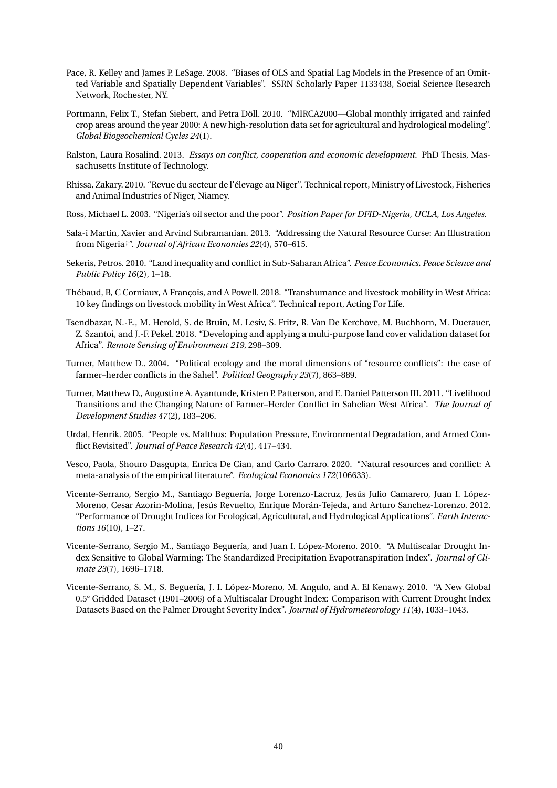- Pace, R. Kelley and James P. LeSage. 2008. "Biases of OLS and Spatial Lag Models in the Presence of an Omitted Variable and Spatially Dependent Variables". SSRN Scholarly Paper 1133438, Social Science Research Network, Rochester, NY.
- Portmann, Felix T., Stefan Siebert, and Petra Döll. 2010. "MIRCA2000—Global monthly irrigated and rainfed crop areas around the year 2000: A new high-resolution data set for agricultural and hydrological modeling". *Global Biogeochemical Cycles 24*(1).
- Ralston, Laura Rosalind. 2013. *Essays on conflict, cooperation and economic development*. PhD Thesis, Massachusetts Institute of Technology.
- Rhissa, Zakary. 2010. "Revue du secteur de l'élevage au Niger". Technical report, Ministry of Livestock, Fisheries and Animal Industries of Niger, Niamey.
- Ross, Michael L. 2003. "Nigeria's oil sector and the poor". *Position Paper for DFID-Nigeria, UCLA, Los Angeles*.
- Sala-i Martin, Xavier and Arvind Subramanian. 2013. "Addressing the Natural Resource Curse: An Illustration from Nigeria†". *Journal of African Economies 22*(4), 570–615.
- Sekeris, Petros. 2010. "Land inequality and conflict in Sub-Saharan Africa". *Peace Economics, Peace Science and Public Policy 16*(2), 1–18.
- Thébaud, B, C Corniaux, A François, and A Powell. 2018. "Transhumance and livestock mobility in West Africa: 10 key findings on livestock mobility in West Africa". Technical report, Acting For Life.
- Tsendbazar, N.-E., M. Herold, S. de Bruin, M. Lesiv, S. Fritz, R. Van De Kerchove, M. Buchhorn, M. Duerauer, Z. Szantoi, and J.-F. Pekel. 2018. "Developing and applying a multi-purpose land cover validation dataset for Africa". *Remote Sensing of Environment 219*, 298–309.
- Turner, Matthew D.. 2004. "Political ecology and the moral dimensions of "resource conflicts": the case of farmer–herder conflicts in the Sahel". *Political Geography 23*(7), 863–889.
- Turner, Matthew D., Augustine A. Ayantunde, Kristen P. Patterson, and E. Daniel Patterson III. 2011. "Livelihood Transitions and the Changing Nature of Farmer–Herder Conflict in Sahelian West Africa". *The Journal of Development Studies 47*(2), 183–206.
- Urdal, Henrik. 2005. "People vs. Malthus: Population Pressure, Environmental Degradation, and Armed Conflict Revisited". *Journal of Peace Research 42*(4), 417–434.
- Vesco, Paola, Shouro Dasgupta, Enrica De Cian, and Carlo Carraro. 2020. "Natural resources and conflict: A meta-analysis of the empirical literature". *Ecological Economics 172*(106633).
- Vicente-Serrano, Sergio M., Santiago Beguería, Jorge Lorenzo-Lacruz, Jesús Julio Camarero, Juan I. López-Moreno, Cesar Azorin-Molina, Jesús Revuelto, Enrique Morán-Tejeda, and Arturo Sanchez-Lorenzo. 2012. "Performance of Drought Indices for Ecological, Agricultural, and Hydrological Applications". *Earth Interactions 16*(10), 1–27.
- Vicente-Serrano, Sergio M., Santiago Beguería, and Juan I. López-Moreno. 2010. "A Multiscalar Drought Index Sensitive to Global Warming: The Standardized Precipitation Evapotranspiration Index". *Journal of Climate 23*(7), 1696–1718.
- Vicente-Serrano, S. M., S. Beguería, J. I. López-Moreno, M. Angulo, and A. El Kenawy. 2010. "A New Global 0.5° Gridded Dataset (1901–2006) of a Multiscalar Drought Index: Comparison with Current Drought Index Datasets Based on the Palmer Drought Severity Index". *Journal of Hydrometeorology 11*(4), 1033–1043.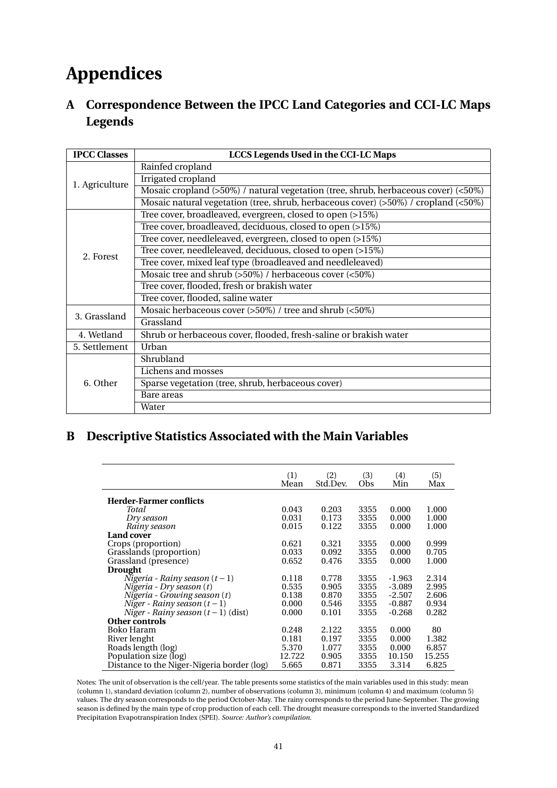## **Appendices**

**A Correspondence Between the IPCC Land Categories and CCI-LC Maps Legends**

| <b>IPCC Classes</b> | LCCS Legends Used in the CCI-LC Maps                                                   |
|---------------------|----------------------------------------------------------------------------------------|
|                     | Rainfed cropland                                                                       |
| 1. Agriculture      | <b>Irrigated</b> cropland                                                              |
|                     | Mosaic cropland (>50%) / natural vegetation (tree, shrub, herbaceous cover) (<50%)     |
|                     | Mosaic natural vegetation (tree, shrub, herbaceous cover) $(50\%)$ / cropland $(50\%)$ |
|                     | Tree cover, broadleaved, evergreen, closed to open (>15%)                              |
|                     | Tree cover, broadleaved, deciduous, closed to open (>15%)                              |
|                     | Tree cover, needleleaved, evergreen, closed to open (>15%)                             |
| 2. Forest           | Tree cover, needleleaved, deciduous, closed to open (>15%)                             |
|                     | Tree cover, mixed leaf type (broadleaved and needleleaved)                             |
|                     | Mosaic tree and shrub (>50%) / herbaceous cover (<50%)                                 |
|                     | Tree cover, flooded, fresh or brakish water                                            |
|                     | Tree cover, flooded, saline water                                                      |
| 3. Grassland        | Mosaic herbaceous cover (>50%) / tree and shrub (<50%)                                 |
|                     | Grassland                                                                              |
| 4. Wetland          | Shrub or herbaceous cover, flooded, fresh-saline or brakish water                      |
| 5. Settlement       | Urban                                                                                  |
|                     | Shrubland                                                                              |
|                     | Lichens and mosses                                                                     |
| 6. Other            | Sparse vegetation (tree, shrub, herbaceous cover)                                      |
|                     | Bare areas                                                                             |
|                     | Water                                                                                  |

## **B Descriptive Statistics Associated with the Main Variables**

|                                            | (1)<br>Mean | (2)<br>Std.Dev. | (3)<br>Obs | (4)<br>Min | (5)<br>Max |
|--------------------------------------------|-------------|-----------------|------------|------------|------------|
| <b>Herder-Farmer conflicts</b>             |             |                 |            |            |            |
| Total                                      | 0.043       | 0.203           | 3355       | 0.000      | 1.000      |
| Dry season                                 | 0.031       | 0.173           | 3355       | 0.000      | 1.000      |
|                                            | 0.015       | 0.122           | 3355       | 0.000      | 1.000      |
| Rainy season                               |             |                 |            |            |            |
| <b>Land cover</b>                          |             |                 |            |            |            |
| Crops (proportion)                         | 0.621       | 0.321           | 3355       | 0.000      | 0.999      |
| Grasslands (proportion)                    | 0.033       | 0.092           | 3355       | 0.000      | 0.705      |
| Grassland (presence)                       | 0.652       | 0.476           | 3355       | 0.000      | 1.000      |
| <b>Drought</b>                             |             |                 |            |            |            |
| Nigeria - Rainy season $(t-1)$             | 0.118       | 0.778           | 3355       | $-1.963$   | 2.314      |
| Nigeria - Dry season $(t)$                 | 0.535       | 0.905           | 3355       | $-3.089$   | 2.995      |
| Nigeria - Growing season (t)               | 0.138       | 0.870           | 3355       | $-2.507$   | 2.606      |
| Niger - Rainy season $(t-1)$               | 0.000       | 0.546           | 3355       | $-0.887$   | 0.934      |
| Niger - Rainy season $(t-1)$ (dist)        | 0.000       | 0.101           | 3355       | $-0.268$   | 0.282      |
| Other controls                             |             |                 |            |            |            |
| Boko Haram                                 | 0.248       | 2.122           | 3355       | 0.000      | 80         |
|                                            | 0.181       |                 |            |            |            |
| River lenght                               |             | 0.197           | 3355       | 0.000      | 1.382      |
| Roads length (log)                         | 5.370       | 1.077           | 3355       | 0.000      | 6.857      |
| Population size (log)                      | 12.722      | 0.905           | 3355       | 10.150     | 15.255     |
| Distance to the Niger-Nigeria border (log) | 5.665       | 0.871           | 3355       | 3.314      | 6.825      |

Notes: The unit of observation is the cell/year. The table presents some statistics of the main variables used in this study: mean (column 1), standard deviation (column 2), number of observations (column 3), minimum (column 4) and maximum (column 5) values. The dry season corresponds to the period October-May. The rainy corresponds to the period June-September. The growing season is defined by the main type of crop production of each cell. The drought measure corresponds to the inverted Standardized Precipitation Evapotranspiration Index (SPEI). *Source: Author's compilation.*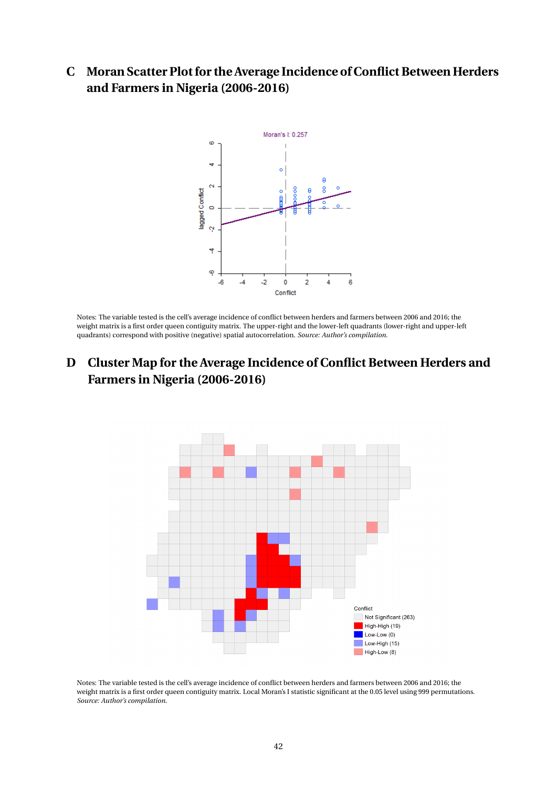**C Moran Scatter Plot for the Average Incidence of Conflict Between Herders and Farmers in Nigeria (2006-2016)**



Notes: The variable tested is the cell's average incidence of conflict between herders and farmers between 2006 and 2016; the weight matrix is a first order queen contiguity matrix. The upper-right and the lower-left quadrants (lower-right and upper-left quadrants) correspond with positive (negative) spatial autocorrelation. *Source: Author's compilation.*

## **D Cluster Map for the Average Incidence of Conflict Between Herders and Farmers in Nigeria (2006-2016)**



Notes: The variable tested is the cell's average incidence of conflict between herders and farmers between 2006 and 2016; the weight matrix is a first order queen contiguity matrix. Local Moran's I statistic significant at the 0.05 level using 999 permutations. *Source: Author's compilation.*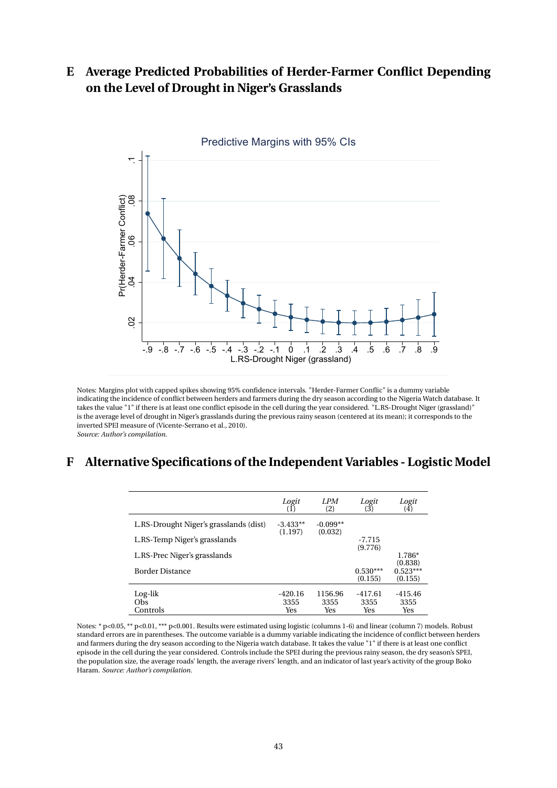## **E Average Predicted Probabilities of Herder-Farmer Conflict Depending on the Level of Drought in Niger's Grasslands**



Notes: Margins plot with capped spikes showing 95% confidence intervals. "Herder-Farmer Conflic" is a dummy variable indicating the incidence of conflict between herders and farmers during the dry season according to the Nigeria Watch database. It takes the value "1" if there is at least one conflict episode in the cell during the year considered. "L.RS-Drought Niger (grassland)" is the average level of drought in Niger's grasslands during the previous rainy season (centered at its mean); it corresponds to the inverted SPEI measure of (Vicente-Serrano et al., 2010). *Source: Author's compilation.*

## **F Alternative Specifications of the Independent Variables - Logistic Model**

|                                        | Logit<br>(1)          | LPM<br>(2)            | Logit<br>(3)          | Logit<br>$\left( 4\right)$       |
|----------------------------------------|-----------------------|-----------------------|-----------------------|----------------------------------|
| L.RS-Drought Niger's grasslands (dist) | $-3.433**$<br>(1.197) | $-0.099**$<br>(0.032) |                       |                                  |
| L.RS-Temp Niger's grasslands           |                       |                       | $-7.715$<br>(9.776)   |                                  |
| L.RS-Prec Niger's grasslands           |                       |                       |                       | 1.786*                           |
| <b>Border Distance</b>                 |                       |                       | $0.530***$<br>(0.155) | (0.838)<br>$0.523***$<br>(0.155) |
| Log-lik<br>Obs                         | $-420.16$<br>3355     | 1156.96<br>3355       | $-417.61$<br>3355     | $-415.46$<br>3355                |
| Controls                               | Yes                   | Yes                   | Yes                   | Yes                              |

Notes: \* p<0.05, \*\* p<0.01, \*\*\* p<0.001. Results were estimated using logistic (columns 1-6) and linear (column 7) models. Robust standard errors are in parentheses. The outcome variable is a dummy variable indicating the incidence of conflict between herders and farmers during the dry season according to the Nigeria watch database. It takes the value "1" if there is at least one conflict episode in the cell during the year considered. Controls include the SPEI during the previous rainy season, the dry season's SPEI, the population size, the average roads' length, the average rivers' length, and an indicator of last year's activity of the group Boko Haram. *Source: Author's compilation.*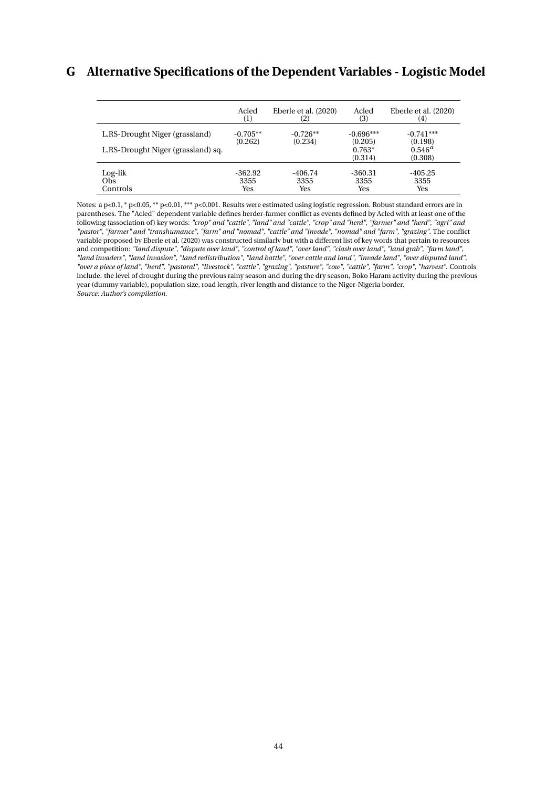## **G Alternative Specifications of the Dependent Variables - Logistic Model**

|                                    | Acled            | Eberle et al. (2020) | Acled               | Eberle et al. (2020)   |
|------------------------------------|------------------|----------------------|---------------------|------------------------|
|                                    | $\left(1\right)$ | (2)                  | (3)                 | (4)                    |
| L.RS-Drought Niger (grassland)     | $-0.705**$       | $-0.726**$           | $-0.696***$         | $-0.741***$            |
|                                    | (0.262)          | (0.234)              | (0.205)             | (0.198)                |
| L.RS-Drought Niger (grassland) sq. |                  |                      | $0.763*$<br>(0.314) | $0.546^{a}$<br>(0.308) |
| Log-lik                            | $-362.92$        | $-406.74$            | $-360.31$           | $-405.25$              |
| Obs                                | 3355             | 3355                 | 3355                | 3355                   |
| Controls                           | Yes              | Yes                  | Yes                 | Yes                    |

Notes: a p<0.1, \* p<0.05, \*\* p<0.01, \*\*\* p<0.001. Results were estimated using logistic regression. Robust standard errors are in parentheses. The "Acled" dependent variable defines herder-farmer conflict as events defined by Acled with at least one of the following (association of) key words: "crop" and "cattle", "land" and "cattle", "crop" and "herd", "farmer" and "herd", "agri" and *"pastor", "farmer" and "transhumance", "farm" and "nomad", "cattle" and "invade", "nomad" and "farm", "grazing"*. The conflict variable proposed by Eberle et al. (2020) was constructed similarly but with a different list of key words that pertain to resources and competition: *"land dispute", "dispute over land", "control of land", "over land", "clash over land", "land grab", "farm land", "land invaders", "land invasion", "land redistribution", "land battle", "over cattle and land", "invade land", "over disputed land", "over a piece of land", "herd", "pastoral", "livestock", "cattle", "grazing", "pasture", "cow", "cattle", "farm", "crop", "harvest"*. Controls include: the level of drought during the previous rainy season and during the dry season, Boko Haram activity during the previous year (dummy variable), population size, road length, river length and distance to the Niger-Nigeria border. *Source: Author's compilation.*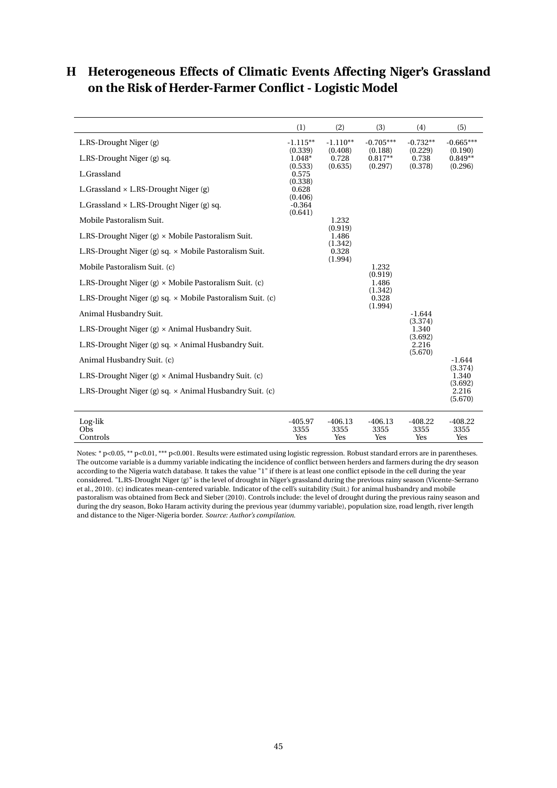## **H Heterogeneous Effects of Climatic Events Affecting Niger's Grassland on the Risk of Herder-Farmer Conflict - Logistic Model**

|                                                                  | (1)                         | (2)                         | (3)                         | (4)                         | (5)                         |
|------------------------------------------------------------------|-----------------------------|-----------------------------|-----------------------------|-----------------------------|-----------------------------|
| L.RS-Drought Niger (g)                                           | $-1.115**$<br>(0.339)       | $-1.110**$<br>(0.408)       | $-0.705***$<br>(0.188)      | $-0.732**$<br>(0.229)       | $-0.665***$<br>(0.190)      |
| L.RS-Drought Niger (g) sq.                                       | 1.048*                      | 0.728                       | $0.817**$                   | 0.738                       | $0.849**$                   |
| L.Grassland                                                      | (0.533)<br>0.575<br>(0.338) | (0.635)                     | (0.297)                     | (0.378)                     | (0.296)                     |
| L.Grassland $\times$ L.RS-Drought Niger (g)                      | 0.628<br>(0.406)            |                             |                             |                             |                             |
| L. Grassland $\times$ L.RS-Drought Niger (g) sq.                 | $-0.364$<br>(0.641)         |                             |                             |                             |                             |
| Mobile Pastoralism Suit.                                         |                             | 1.232                       |                             |                             |                             |
| L.RS-Drought Niger $(g) \times$ Mobile Pastoralism Suit.         |                             | (0.919)<br>1.486<br>(1.342) |                             |                             |                             |
| L.RS-Drought Niger (g) sq. $\times$ Mobile Pastoralism Suit.     |                             | 0.328<br>(1.994)            |                             |                             |                             |
| Mobile Pastoralism Suit. (c)                                     |                             |                             | 1.232                       |                             |                             |
| L.RS-Drought Niger (g) $\times$ Mobile Pastoralism Suit. (c)     |                             |                             | (0.919)<br>1.486            |                             |                             |
| L.RS-Drought Niger (g) sq. $\times$ Mobile Pastoralism Suit. (c) |                             |                             | (1.342)<br>0.328<br>(1.994) |                             |                             |
| Animal Husbandry Suit.                                           |                             |                             |                             | $-1.644$                    |                             |
| L.RS-Drought Niger (g) $\times$ Animal Husbandry Suit.           |                             |                             |                             | (3.374)<br>1.340<br>(3.692) |                             |
| L.RS-Drought Niger (g) sq. $\times$ Animal Husbandry Suit.       |                             |                             |                             | 2.216<br>(5.670)            |                             |
| Animal Husbandry Suit. (c)                                       |                             |                             |                             |                             | $-1.644$                    |
| L.RS-Drought Niger (g) $\times$ Animal Husbandry Suit. (c)       |                             |                             |                             |                             | (3.374)<br>1.340<br>(3.692) |
| L.RS-Drought Niger (g) sq. $\times$ Animal Husbandry Suit. (c)   |                             |                             |                             |                             | 2.216<br>(5.670)            |
| Log-lik<br>Obs<br>Controls                                       | $-405.97$<br>3355<br>Yes    | $-406.13$<br>3355<br>Yes    | $-406.13$<br>3355<br>Yes    | $-408.22$<br>3355<br>Yes    | $-408.22$<br>3355<br>Yes    |

Notes: \* p<0.05, \*\* p<0.01, \*\*\* p<0.001. Results were estimated using logistic regression. Robust standard errors are in parentheses. The outcome variable is a dummy variable indicating the incidence of conflict between herders and farmers during the dry season according to the Nigeria watch database. It takes the value "1" if there is at least one conflict episode in the cell during the year considered. "L.RS-Drought Niger (g)" is the level of drought in Niger's grassland during the previous rainy season (Vicente-Serrano et al., 2010). (c) indicates mean-centered variable. Indicator of the cell's suitability (Suit.) for animal husbandry and mobile pastoralism was obtained from Beck and Sieber (2010). Controls include: the level of drought during the previous rainy season and during the dry season, Boko Haram activity during the previous year (dummy variable), population size, road length, river length and distance to the Niger-Nigeria border. *Source: Author's compilation.*